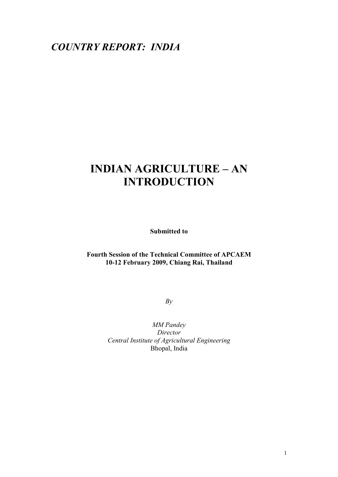# *COUNTRY REPORT: INDIA*

# **INDIAN AGRICULTURE – AN INTRODUCTION**

**Submitted to** 

# **Fourth Session of the Technical Committee of APCAEM 10-12 February 2009, Chiang Rai, Thailand**

*By* 

*MM Pandey Director Central Institute of Agricultural Engineering*  Bhopal, India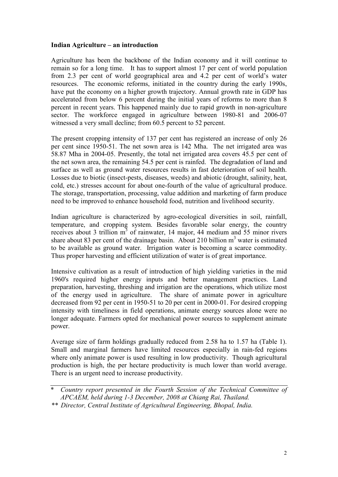#### **Indian Agriculture – an introduction**

Agriculture has been the backbone of the Indian economy and it will continue to remain so for a long time. It has to support almost 17 per cent of world population from 2.3 per cent of world geographical area and 4.2 per cent of world's water resources. The economic reforms, initiated in the country during the early 1990s, have put the economy on a higher growth trajectory. Annual growth rate in GDP has accelerated from below 6 percent during the initial years of reforms to more than 8 percent in recent years. This happened mainly due to rapid growth in non-agriculture sector. The workforce engaged in agriculture between 1980-81 and 2006-07 witnessed a very small decline; from 60.5 percent to 52 percent.

The present cropping intensity of 137 per cent has registered an increase of only 26 per cent since 1950-51. The net sown area is 142 Mha. The net irrigated area was 58.87 Mha in 2004-05. Presently, the total net irrigated area covers 45.5 per cent of the net sown area, the remaining 54.5 per cent is rainfed. The degradation of land and surface as well as ground water resources results in fast deterioration of soil health. Losses due to biotic (insect-pests, diseases, weeds) and abiotic (drought, salinity, heat, cold, etc.) stresses account for about one-fourth of the value of agricultural produce. The storage, transportation, processing, value addition and marketing of farm produce need to be improved to enhance household food, nutrition and livelihood security.

Indian agriculture is characterized by agro-ecological diversities in soil, rainfall, temperature, and cropping system. Besides favorable solar energy, the country receives about 3 trillion  $m<sup>3</sup>$  of rainwater, 14 major, 44 medium and 55 minor rivers share about 83 per cent of the drainage basin. About 210 billion  $m<sup>3</sup>$  water is estimated to be available as ground water. Irrigation water is becoming a scarce commodity. Thus proper harvesting and efficient utilization of water is of great importance.

Intensive cultivation as a result of introduction of high yielding varieties in the mid 1960's required higher energy inputs and better management practices. Land preparation, harvesting, threshing and irrigation are the operations, which utilize most of the energy used in agriculture. The share of animate power in agriculture decreased from 92 per cent in 1950-51 to 20 per cent in 2000-01. For desired cropping intensity with timeliness in field operations, animate energy sources alone were no longer adequate. Farmers opted for mechanical power sources to supplement animate power.

Average size of farm holdings gradually reduced from 2.58 ha to 1.57 ha (Table 1). Small and marginal farmers have limited resources especially in rain-fed regions where only animate power is used resulting in low productivity. Though agricultural production is high, the per hectare productivity is much lower than world average. There is an urgent need to increase productivity.

<sup>\*</sup> *Country report presented in the Fourth Session of the Technical Committee of APCAEM, held during 1-3 December, 2008 at Chiang Rai, Thailand.* 

*<sup>\*\*</sup> Director, Central Institute of Agricultural Engineering, Bhopal, India.*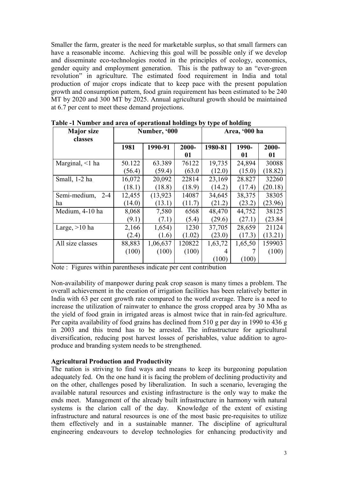Smaller the farm, greater is the need for marketable surplus, so that small farmers can have a reasonable income. Achieving this goal will be possible only if we develop and disseminate eco-technologies rooted in the principles of ecology, economics, gender equity and employment generation. This is the pathway to an "ever-green revolution" in agriculture. The estimated food requirement in India and total production of major crops indicate that to keep pace with the present population growth and consumption pattern, food grain requirement has been estimated to be 240 MT by 2020 and 300 MT by 2025. Annual agricultural growth should be maintained at 6.7 per cent to meet these demand projections.

| <b>Major</b> size<br>classes |        | Number, '000 | $\mathbf{m}_{\mathbf{S}}$ , $\mathbf{v}_{J}$ $\mathbf{v}_{J}$ pv or normally | Area, '000 ha |         |         |  |
|------------------------------|--------|--------------|------------------------------------------------------------------------------|---------------|---------|---------|--|
|                              | 1981   | 1990-91      | 2000-                                                                        | 1980-81       | 1990-   | 2000-   |  |
|                              |        |              | 01                                                                           |               | 01      | 01      |  |
| Marginal, $\leq 1$ ha        | 50.122 | 63.389       | 76122                                                                        | 19,735        | 24,894  | 30088   |  |
|                              | (56.4) | (59.4)       | (63.0)                                                                       | (12.0)        | (15.0)  | (18.82) |  |
| Small, 1-2 ha                | 16,072 | 20,092       | 22814                                                                        | 23,169        | 28.827  | 32260   |  |
|                              | (18.1) | (18.8)       | (18.9)                                                                       | (14.2)        | (17.4)  | (20.18) |  |
| Semi-medium,<br>$2 - 4$      | 12,455 | (13, 923)    | 14087                                                                        | 34,645        | 38,375  | 38305   |  |
| ha                           | (14.0) | (13.1)       | (11.7)                                                                       | (21.2)        | (23.2)  | (23.96) |  |
| Medium, 4-10 ha              | 8,068  | 7,580        | 6568                                                                         | 48,470        | 44,752  | 38125   |  |
|                              | (9.1)  | (7.1)        | (5.4)                                                                        | (29.6)        | (27.1)  | (23.84) |  |
| Large, $>10$ ha              | 2,166  | 1,654)       | 1230                                                                         | 37,705        | 28,659  | 21124   |  |
|                              | (2.4)  | (1.6)        | (1.02)                                                                       | (23.0)        | (17.3)  | (13.21) |  |
| All size classes             | 88,883 | 1,06,637     | 120822                                                                       | 1,63,72       | 1,65,50 | 159903  |  |
|                              | (100)  | (100)        | (100)                                                                        | 4             |         | (100)   |  |
|                              |        |              |                                                                              | (100)         | (100)   |         |  |

**Table -1 Number and area of operational holdings by type of holding** 

Non-availability of manpower during peak crop season is many times a problem. The overall achievement in the creation of irrigation facilities has been relatively better in India with 63 per cent growth rate compared to the world average. There is a need to increase the utilization of rainwater to enhance the gross cropped area by 30 Mha as the yield of food grain in irrigated areas is almost twice that in rain-fed agriculture. Per capita availability of food grains has declined from 510 g per day in 1990 to 436 g in 2003 and this trend has to be arrested. The infrastructure for agricultural diversification, reducing post harvest losses of perishables, value addition to agroproduce and branding system needs to be strengthened.

#### **Agricultural Production and Productivity**

The nation is striving to find ways and means to keep its burgeoning population adequately fed. On the one hand it is facing the problem of declining productivity and on the other, challenges posed by liberalization. In such a scenario, leveraging the available natural resources and existing infrastructure is the only way to make the ends meet. Management of the already built infrastructure in harmony with natural systems is the clarion call of the day. Knowledge of the extent of existing infrastructure and natural resources is one of the most basic pre-requisites to utilize them effectively and in a sustainable manner. The discipline of agricultural engineering endeavours to develop technologies for enhancing productivity and

Note : Figures within parentheses indicate per cent contribution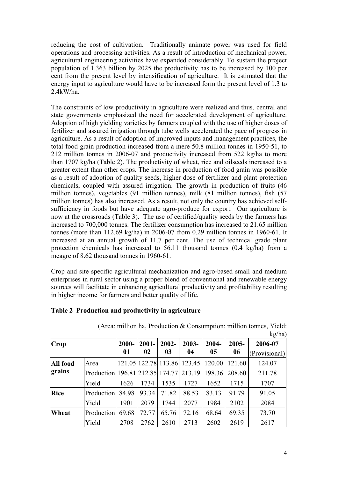reducing the cost of cultivation. Traditionally animate power was used for field operations and processing activities. As a result of introduction of mechanical power, agricultural engineering activities have expanded considerably. To sustain the project population of 1.363 billion by 2025 the productivity has to be increased by 100 per cent from the present level by intensification of agriculture. It is estimated that the energy input to agriculture would have to be increased form the present level of 1.3 to 2.4kW/ha.

The constraints of low productivity in agriculture were realized and thus, central and state governments emphasized the need for accelerated development of agriculture. Adoption of high yielding varieties by farmers coupled with the use of higher doses of fertilizer and assured irrigation through tube wells accelerated the pace of progress in agriculture. As a result of adoption of improved inputs and management practices, the total food grain production increased from a mere 50.8 million tonnes in 1950-51, to 212 million tonnes in 2006-07 and productivity increased from 522 kg/ha to more than 1707 kg/ha (Table 2). The productivity of wheat, rice and oilseeds increased to a greater extent than other crops. The increase in production of food grain was possible as a result of adoption of quality seeds, higher dose of fertilizer and plant protection chemicals, coupled with assured irrigation. The growth in production of fruits (46 million tonnes), vegetables (91 million tonnes), milk (81 million tonnes), fish (57 million tonnes) has also increased. As a result, not only the country has achieved selfsufficiency in foods but have adequate agro-produce for export. Our agriculture is now at the crossroads (Table 3). The use of certified/quality seeds by the farmers has increased to 700,000 tonnes. The fertilizer consumption has increased to 21.65 million tonnes (more than 112.69 kg/ha) in 2006-07 from 0.29 million tonnes in 1960-61. It increased at an annual growth of 11.7 per cent. The use of technical grade plant protection chemicals has increased to 56.11 thousand tonnes (0.4 kg/ha) from a meagre of 8.62 thousand tonnes in 1960-61.

Crop and site specific agricultural mechanization and agro-based small and medium enterprises in rural sector using a proper blend of conventional and renewable energy sources will facilitate in enhancing agricultural productivity and profitability resulting in higher income for farmers and better quality of life.

|             |                                        |          |          |          |                             |                |          | kg/ha)        |
|-------------|----------------------------------------|----------|----------|----------|-----------------------------|----------------|----------|---------------|
| Crop        |                                        | $2000 -$ | $2001 -$ | $2002 -$ | 2003-                       | 2004-          | $2005 -$ | 2006-07       |
|             |                                        | 01       | 02       | 03       | 04                          | 0 <sub>5</sub> | 06       | (Provisional) |
| All food    | Area                                   |          |          |          | 121.05 122.78 113.86 123.45 | 120.00         | 121.60   | 124.07        |
| grains      | Production 196.81 212.85 174.77 213.19 |          |          |          |                             | 198.36         | 208.60   | 211.78        |
|             | Yield                                  | 1626     | 1734     | 1535     | 1727                        | 1652           | 1715     | 1707          |
| <b>Rice</b> | Production                             | 84.98    | 93.34    | 71.82    | 88.53                       | 83.13          | 91.79    | 91.05         |
|             | Yield                                  | 1901     | 2079     | 1744     | 2077                        | 1984           | 2102     | 2084          |
| Wheat       | Production                             | 69.68    | 72.77    | 65.76    | 72.16                       | 68.64          | 69.35    | 73.70         |
|             | Yield                                  | 2708     | 2762     | 2610     | 2713                        | 2602           | 2619     | 2617          |

# **Table 2 Production and productivity in agriculture**

 (Area: million ha, Production & Consumption: million tonnes, Yield: 1a)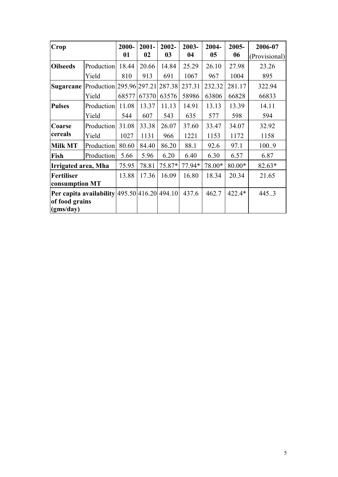| Crop                                         |                                 | 2000- | $2001 -$ | 2002-  | 2003-  | 2004-  | $2005 -$ | 2006-07       |
|----------------------------------------------|---------------------------------|-------|----------|--------|--------|--------|----------|---------------|
|                                              |                                 | 01    | 02       | 03     | 04     | 05     | 06       | (Provisional) |
| <b>Oilseeds</b>                              | Production                      | 18.44 | 20.66    | 14.84  | 25.29  | 26.10  | 27.98    | 23.26         |
|                                              | Yield                           | 810   | 913      | 691    | 1067   | 967    | 1004     | 895           |
| <b>Sugarcane</b>                             | Production 295.96 297.21 287.38 |       |          |        | 237.31 | 232.32 | 281.17   | 322.94        |
|                                              | Yield                           | 68577 | 67370    | 63576  | 58986  | 63806  | 66828    | 66833         |
| <b>Pulses</b>                                | Production                      | 11.08 | 13.37    | 11.13  | 14.91  | 13.13  | 13.39    | 14.11         |
|                                              | Yield                           | 544   | 607      | 543    | 635    | 577    | 598      | 594           |
| <b>Coarse</b>                                | Production                      | 31.08 | 33.38    | 26.07  | 37.60  | 33.47  | 34.07    | 32.92         |
| cereals                                      | Yield                           | 1027  | 1131     | 966    | 1221   | 1153   | 1172     | 1158          |
| <b>Milk MT</b>                               | Production                      | 80.60 | 84.40    | 86.20  | 88.1   | 92.6   | 97.1     | 100.9         |
| Fish                                         | Production                      | 5.66  | 5.96     | 6.20   | 6.40   | 6.30   | 6.57     | 6.87          |
| Irrigated area, Mha                          |                                 | 75.95 | 78.81    | 75.87* | 77.94* | 78.00* | 80.00*   | 82.63*        |
| <b>Fertiliser</b>                            |                                 | 13.88 | 17.36    | 16.09  | 16.80  | 18.34  | 20.34    | 21.65         |
| consumption MT                               |                                 |       |          |        |        |        |          |               |
| Per capita availability 495.50 416.20 494.10 |                                 |       |          |        | 437.6  | 462.7  | 422.4*   | 445.3         |
| of food grains<br>(gms/day)                  |                                 |       |          |        |        |        |          |               |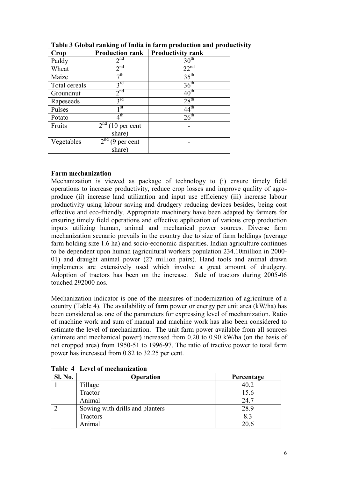| Crop          | <b>Production rank</b>           | <b>Productivity rank</b> |
|---------------|----------------------------------|--------------------------|
| Paddy         | 2 <sup>nd</sup>                  | 30 <sup>th</sup>         |
| Wheat         | 2 <sup>nd</sup>                  | 22 <sup>nd</sup>         |
| Maize         | $\neg$ th                        | 35 <sup>th</sup>         |
| Total cereals | $3^{\text{rd}}$                  | 36 <sup>th</sup>         |
| Groundnut     | 2 <sup>nd</sup>                  | $40^{\text{th}}$         |
| Rapeseeds     | $3^{\text{rd}}$                  | 28 <sup>th</sup>         |
| Pulses        | 1 <sup>st</sup>                  | $44^{\text{th}}$         |
| Potato        | $4^{\rm th}$                     | $26^{\text{th}}$         |
| Fruits        | $2nd$ (10 per cent               |                          |
|               | share)                           |                          |
| Vegetables    | 2 <sup>nd</sup><br>$(9$ per cent |                          |
|               | share)                           |                          |

**Table 3 Global ranking of India in farm production and productivity** 

# **Farm mechanization**

Mechanization is viewed as package of technology to (i) ensure timely field operations to increase productivity, reduce crop losses and improve quality of agroproduce (ii) increase land utilization and input use efficiency (iii) increase labour productivity using labour saving and drudgery reducing devices besides, being cost effective and eco-friendly. Appropriate machinery have been adapted by farmers for ensuring timely field operations and effective application of various crop production inputs utilizing human, animal and mechanical power sources. Diverse farm mechanization scenario prevails in the country due to size of farm holdings (average farm holding size 1.6 ha) and socio-economic disparities. Indian agriculture continues to be dependent upon human (agricultural workers population 234.10million in 2000- 01) and draught animal power (27 million pairs). Hand tools and animal drawn implements are extensively used which involve a great amount of drudgery. Adoption of tractors has been on the increase. Sale of tractors during 2005-06 touched 292000 nos.

Mechanization indicator is one of the measures of modernization of agriculture of a country (Table 4). The availability of farm power or energy per unit area (kW/ha) has been considered as one of the parameters for expressing level of mechanization. Ratio of machine work and sum of manual and machine work has also been considered to estimate the level of mechanization. The unit farm power available from all sources (animate and mechanical power) increased from 0.20 to 0.90 kW/ha (on the basis of net cropped area) from 1950-51 to 1996-97. The ratio of tractive power to total farm power has increased from 0.82 to 32.25 per cent.

| Sl. No. | <b>Operation</b>                | Percentage |
|---------|---------------------------------|------------|
|         | Tillage                         | 40.2       |
|         | Tractor                         | 15.6       |
|         | Animal                          | 24.7       |
|         | Sowing with drills and planters | 28.9       |
|         | Tractors                        | 8.3        |
|         | Animal                          | 20.6       |

**Table 4 Level of mechanization**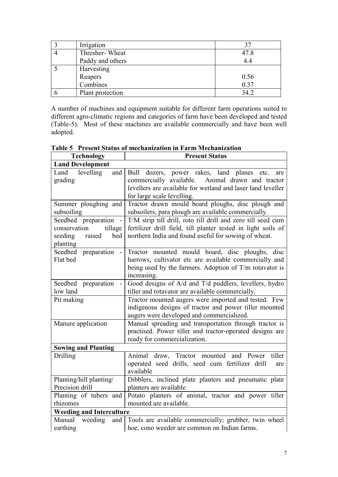| Irrigation       | 37   |
|------------------|------|
| Thresher-Wheat   | 47.8 |
| Paddy and others | 4.4  |
| Harvesting       |      |
| Reapers          | 0.56 |
| Combines         | 0.37 |
| Plant protection | 34.2 |

A number of machines and equipment suitable for different farm operations suited to different agro-climatic regions and categories of farm have been developed and tested (Table-5). Most of these machines are available commercially and have been well adopted.

| <b>Technology</b>                                                                                        | <b>Present Status</b>                                                                                                                                                                                    |
|----------------------------------------------------------------------------------------------------------|----------------------------------------------------------------------------------------------------------------------------------------------------------------------------------------------------------|
| <b>Land Development</b>                                                                                  |                                                                                                                                                                                                          |
| Land levelling<br>and<br>grading                                                                         | Bull dozers, power rakes, land planes<br>etc.<br>are<br>commercially available.<br>Animal drawn and tractor<br>levellers are available for wetland and laser land leveller<br>for large scale levelling. |
| Summer ploughing and<br>subsoiling                                                                       | Tractor drawn mould board ploughs, disc plough and<br>subsoilers, para plough are available commercially.                                                                                                |
| Seedbed preparation<br>$\blacksquare$<br>conservation<br>tillage<br>seeding<br>raised<br>bed<br>planting | T/M strip till drill, roto till drill and zero till seed cum<br>fertilizer drill field, till planter tested in light soils of<br>northern India and found useful for sowing of wheat.                    |
| Seedbed preparation<br>Flat bed                                                                          | Tractor mounted mould board, disc ploughs, disc<br>harrows, cultivator etc are available commercially and<br>being used by the farmers. Adoption of $T/m$ rotavator is<br>increasing.                    |
| Seedbed preparation<br>low land                                                                          | Good designs of A/d and T/d puddlers, levellers, hydro<br>tiller and rotavator are available commercially.                                                                                               |
| Pit making                                                                                               | Tractor mounted augers were imported and tested. Few<br>indigenous designs of tractor and power tiller mounted<br>augers were developed and commercialized.                                              |
| Manure application                                                                                       | Manual spreading and transportation through tractor is<br>practised. Power tiller and tractor-operated designs are<br>ready for commercialization.                                                       |
| <b>Sowing and Planting</b>                                                                               |                                                                                                                                                                                                          |
| Drilling                                                                                                 | Animal<br>tiller<br>draw, Tractor mounted<br>and Power<br>operated seed drills, seed cum fertilizer drill<br>are<br>available                                                                            |
| Planting/hill planting/<br>Precision drill                                                               | Dibblers, inclined plate planters and pneumatic plate<br>planters are available                                                                                                                          |
| Planting of tubers and<br>rhizomes                                                                       | Potato planters of animal, tractor and power tiller<br>mounted are available.                                                                                                                            |
| <b>Weeding and Interculture</b>                                                                          |                                                                                                                                                                                                          |
| weeding<br>Manual<br>and<br>earthing                                                                     | Tools are available commercially; grubber, twin wheel<br>hoe, cono weeder are common on Indian farms.                                                                                                    |

**Table 5 Present Status of mechanization in Farm Mechanization**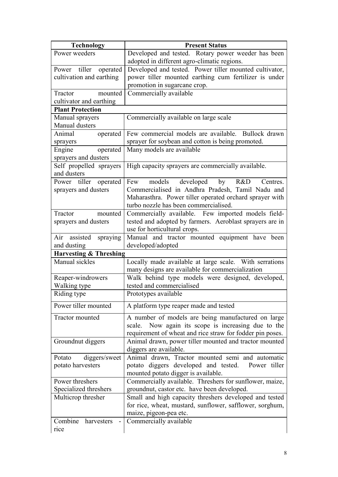| <b>Technology</b>                                   | <b>Present Status</b>                                                                                      |  |  |  |  |
|-----------------------------------------------------|------------------------------------------------------------------------------------------------------------|--|--|--|--|
| Power weeders                                       | Developed and tested. Rotary power weeder has been                                                         |  |  |  |  |
|                                                     | adopted in different agro-climatic regions.                                                                |  |  |  |  |
| Power tiller<br>operated                            | Developed and tested. Power tiller mounted cultivator,                                                     |  |  |  |  |
| cultivation and earthing                            | power tiller mounted earthing cum fertilizer is under                                                      |  |  |  |  |
|                                                     | promotion in sugarcane crop.                                                                               |  |  |  |  |
| Tractor<br>mounted                                  | Commercially available                                                                                     |  |  |  |  |
| cultivator and earthing                             |                                                                                                            |  |  |  |  |
| <b>Plant Protection</b>                             |                                                                                                            |  |  |  |  |
| Manual sprayers                                     | Commercially available on large scale                                                                      |  |  |  |  |
| Manual dusters                                      |                                                                                                            |  |  |  |  |
| Animal<br>operated                                  | Few commercial models are available. Bullock drawn                                                         |  |  |  |  |
| sprayers                                            | sprayer for soybean and cotton is being promoted.                                                          |  |  |  |  |
| Engine<br>operated                                  | Many models are available                                                                                  |  |  |  |  |
| sprayers and dusters                                |                                                                                                            |  |  |  |  |
| Self propelled sprayers                             | High capacity sprayers are commercially available.                                                         |  |  |  |  |
| and dusters                                         |                                                                                                            |  |  |  |  |
| Power tiller operated                               | models developed by R&D<br>Few<br>Centres.                                                                 |  |  |  |  |
| sprayers and dusters                                | Commercialised in Andhra Pradesh, Tamil Nadu and                                                           |  |  |  |  |
|                                                     | Maharasthra. Power tiller operated orchard sprayer with                                                    |  |  |  |  |
|                                                     | turbo nozzle has been commercialised.                                                                      |  |  |  |  |
| Tractor<br>mounted                                  | Commercially available. Few imported models field-                                                         |  |  |  |  |
| sprayers and dusters                                | tested and adopted by farmers. Aeroblast sprayers are in                                                   |  |  |  |  |
|                                                     | use for horticultural crops.                                                                               |  |  |  |  |
| Air assisted<br>spraying<br>and dusting             | Manual and tractor mounted equipment have been                                                             |  |  |  |  |
|                                                     | developed/adopted                                                                                          |  |  |  |  |
| <b>Harvesting &amp; Threshing</b><br>Manual sickles |                                                                                                            |  |  |  |  |
|                                                     | Locally made available at large scale. With serrations<br>many designs are available for commercialization |  |  |  |  |
| Reaper-windrowers                                   | Walk behind type models were designed, developed,                                                          |  |  |  |  |
| Walking type                                        | tested and commercialised                                                                                  |  |  |  |  |
| Riding type                                         | Prototypes available                                                                                       |  |  |  |  |
|                                                     |                                                                                                            |  |  |  |  |
| Power tiller mounted                                | A platform type reaper made and tested                                                                     |  |  |  |  |
| Tractor mounted                                     | A number of models are being manufactured on large                                                         |  |  |  |  |
|                                                     | scale. Now again its scope is increasing due to the                                                        |  |  |  |  |
|                                                     | requirement of wheat and rice straw for fodder pin poses.                                                  |  |  |  |  |
| Groundnut diggers                                   | Animal drawn, power tiller mounted and tractor mounted                                                     |  |  |  |  |
|                                                     | diggers are available.                                                                                     |  |  |  |  |
| diggers/sweet<br>Potato                             | Animal drawn, Tractor mounted semi and automatic                                                           |  |  |  |  |
| potato harvesters                                   | potato diggers developed and tested.<br>Power tiller                                                       |  |  |  |  |
|                                                     | mounted potato digger is available.                                                                        |  |  |  |  |
| Power threshers                                     | Commercially available. Threshers for sunflower, maize,                                                    |  |  |  |  |
| Specialized threshers                               | groundnut, castor etc. have been developed.                                                                |  |  |  |  |
| Multicrop thresher                                  | Small and high capacity threshers developed and tested                                                     |  |  |  |  |
|                                                     | for rice, wheat, mustard, sunflower, safflower, sorghum,                                                   |  |  |  |  |
| Combine<br>harvesters                               | maize, pigeon-pea etc.<br>Commercially available                                                           |  |  |  |  |
| rice                                                |                                                                                                            |  |  |  |  |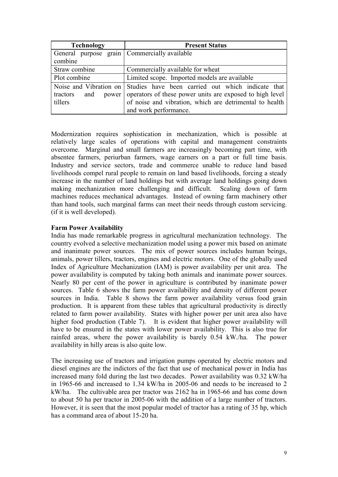| <b>Technology</b>                            | <b>Present Status</b>                                                    |  |  |  |
|----------------------------------------------|--------------------------------------------------------------------------|--|--|--|
| General purpose grain Commercially available |                                                                          |  |  |  |
| combine                                      |                                                                          |  |  |  |
| Straw combine                                | Commercially available for wheat                                         |  |  |  |
| Plot combine                                 | Limited scope. Imported models are available                             |  |  |  |
|                                              | Noise and Vibration on Studies have been carried out which indicate that |  |  |  |
| tractors<br>and<br>power                     | operators of these power units are exposed to high level                 |  |  |  |
| tillers                                      | of noise and vibration, which are detrimental to health                  |  |  |  |
|                                              | and work performance.                                                    |  |  |  |

Modernization requires sophistication in mechanization, which is possible at relatively large scales of operations with capital and management constraints overcome. Marginal and small farmers are increasingly becoming part time, with absentee farmers, periurban farmers, wage earners on a part or full time basis. Industry and service sectors, trade and commerce unable to reduce land based livelihoods compel rural people to remain on land based livelihoods, forcing a steady increase in the number of land holdings but with average land holdings going down making mechanization more challenging and difficult. Scaling down of farm machines reduces mechanical advantages. Instead of owning farm machinery other than hand tools, such marginal farms can meet their needs through custom servicing. (if it is well developed).

# **Farm Power Availability**

India has made remarkable progress in agricultural mechanization technology. The country evolved a selective mechanization model using a power mix based on animate and inanimate power sources. The mix of power sources includes human beings, animals, power tillers, tractors, engines and electric motors. One of the globally used Index of Agriculture Mechanization (IAM) is power availability per unit area. The power availability is computed by taking both animals and inanimate power sources. Nearly 80 per cent of the power in agriculture is contributed by inanimate power sources. Table 6 shows the farm power availability and density of different power sources in India. Table 8 shows the farm power availability versus food grain production. It is apparent from these tables that agricultural productivity is directly related to farm power availability. States with higher power per unit area also have higher food production (Table 7). It is evident that higher power availability will have to be ensured in the states with lower power availability. This is also true for rainfed areas, where the power availability is barely 0.54 kW./ha. The power availability in hilly areas is also quite low.

The increasing use of tractors and irrigation pumps operated by electric motors and diesel engines are the indictors of the fact that use of mechanical power in India has increased many fold during the last two decades. Power availability was 0.32 kW/ha in 1965-66 and increased to 1.34 kW/ha in 2005-06 and needs to be increased to 2 kW/ha. The cultivable area per tractor was 2162 ha in 1965-66 and has come down to about 50 ha per tractor in 2005-06 with the addition of a large number of tractors. However, it is seen that the most popular model of tractor has a rating of 35 hp, which has a command area of about 15-20 ha.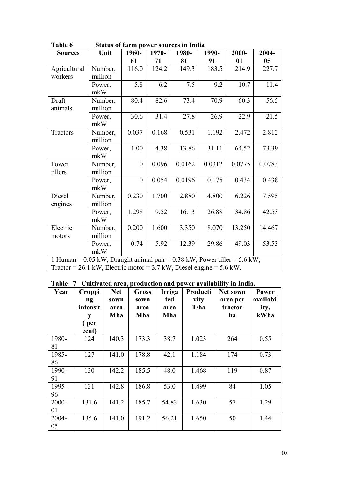| 1 adie o                                                                                             |         |                  |                    | Status of farm power sources in filma |        |        |        |
|------------------------------------------------------------------------------------------------------|---------|------------------|--------------------|---------------------------------------|--------|--------|--------|
| <b>Sources</b>                                                                                       | Unit    | 1960-            | 1970-              | 1980-                                 | 1990-  | 2000-  | 2004-  |
|                                                                                                      |         | 61               | 71                 | 81                                    | 91     | 01     | 05     |
| Agricultural                                                                                         | Number, | 116.0            | $\overline{1}24.2$ | 149.3                                 | 183.5  | 214.9  | 227.7  |
| workers                                                                                              | million |                  |                    |                                       |        |        |        |
|                                                                                                      | Power,  | 5.8              | 6.2                | 7.5                                   | 9.2    | 10.7   | 11.4   |
|                                                                                                      | mkW     |                  |                    |                                       |        |        |        |
| Draft                                                                                                | Number, | 80.4             | 82.6               | 73.4                                  | 70.9   | 60.3   | 56.5   |
| animals                                                                                              | million |                  |                    |                                       |        |        |        |
|                                                                                                      | Power,  | 30.6             | 31.4               | 27.8                                  | 26.9   | 22.9   | 21.5   |
|                                                                                                      | mkW     |                  |                    |                                       |        |        |        |
| Tractors                                                                                             | Number, | 0.037            | 0.168              | 0.531                                 | 1.192  | 2.472  | 2.812  |
|                                                                                                      | million |                  |                    |                                       |        |        |        |
|                                                                                                      | Power,  | 1.00             | 4.38               | 13.86                                 | 31.11  | 64.52  | 73.39  |
|                                                                                                      | mkW     |                  |                    |                                       |        |        |        |
| Power                                                                                                | Number, | $\boldsymbol{0}$ | 0.096              | 0.0162                                | 0.0312 | 0.0775 | 0.0783 |
| tillers                                                                                              | million |                  |                    |                                       |        |        |        |
|                                                                                                      | Power,  | $\boldsymbol{0}$ | 0.054              | 0.0196                                | 0.175  | 0.434  | 0.438  |
|                                                                                                      | mkW     |                  |                    |                                       |        |        |        |
| Diesel                                                                                               | Number, | 0.230            | 1.700              | 2.880                                 | 4.800  | 6.226  | 7.595  |
| engines                                                                                              | million |                  |                    |                                       |        |        |        |
|                                                                                                      | Power,  | 1.298            | 9.52               | 16.13                                 | 26.88  | 34.86  | 42.53  |
|                                                                                                      | mkW     |                  |                    |                                       |        |        |        |
| Electric                                                                                             | Number, | 0.200            | 1.600              | 3.350                                 | 8.070  | 13.250 | 14.467 |
| motors                                                                                               | million |                  |                    |                                       |        |        |        |
|                                                                                                      | Power,  | 0.74             | 5.92               | 12.39                                 | 29.86  | 49.03  | 53.53  |
|                                                                                                      | mkW     |                  |                    |                                       |        |        |        |
| 1 Human = $0.05$ kW, Draught animal pair = $0.38$ kW, Power tiller = $5.6$ kW;                       |         |                  |                    |                                       |        |        |        |
| Tractor = $26.1 \text{ kW}$ , Electric motor = $3.7 \text{ kW}$ , Diesel engine = $5.6 \text{ kW}$ . |         |                  |                    |                                       |        |        |        |

**Table 6 Status of farm power sources in India** 

|  |  | Table 7 Cultivated area, production and power availability in India. |  |  |  |
|--|--|----------------------------------------------------------------------|--|--|--|
|--|--|----------------------------------------------------------------------|--|--|--|

| Year        | Croppi<br>ng<br>intensit<br>y<br>(per<br>cent) | <b>Net</b><br>sown<br>area<br>Mha | Gross<br>sown<br>area<br>Mha | Irriga<br>ted<br>area<br>Mha | Producti<br>vity<br>T/ha | Net sown<br>area per<br>tractor<br>ha | <b>Power</b><br>availabil<br>ity,<br>kWha |
|-------------|------------------------------------------------|-----------------------------------|------------------------------|------------------------------|--------------------------|---------------------------------------|-------------------------------------------|
| 1980-<br>81 | 124                                            | 140.3                             | 173.3                        | 38.7                         | 1.023                    | 264                                   | 0.55                                      |
| 1985-<br>86 | 127                                            | 141.0                             | 178.8                        | 42.1                         | 1.184                    | 174                                   | 0.73                                      |
| 1990-<br>91 | 130                                            | 142.2                             | 185.5                        | 48.0                         | 1.468                    | 119                                   | 0.87                                      |
| 1995-<br>96 | 131                                            | 142.8                             | 186.8                        | 53.0                         | 1.499                    | 84                                    | 1.05                                      |
| 2000-<br>01 | 131.6                                          | 141.2                             | 185.7                        | 54.83                        | 1.630                    | 57                                    | 1.29                                      |
| 2004-<br>05 | 135.6                                          | 141.0                             | 191.2                        | 56.21                        | 1.650                    | 50                                    | 1.44                                      |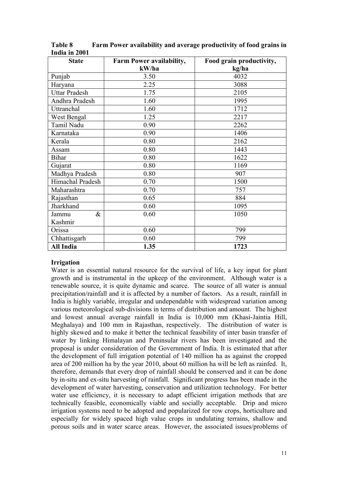| <b>State</b>         | <b>Farm Power availability,</b> | Food grain productivity, |  |  |
|----------------------|---------------------------------|--------------------------|--|--|
|                      | kW/ha                           | kg/ha                    |  |  |
| Punjab               | 3.50                            | 4032                     |  |  |
| Haryana              | 2.25                            | 3088                     |  |  |
| <b>Uttar Pradesh</b> | 1.75                            | 2105                     |  |  |
| Andhra Pradesh       | 1.60                            | 1995                     |  |  |
| Uttranchal           | 1.60                            | 1712                     |  |  |
| West Bengal          | 1.25                            | 2217                     |  |  |
| Tamil Nadu           | 0.90                            | 2262                     |  |  |
| Karnataka            | 0.90                            | 1406                     |  |  |
| Kerala               | 0.80                            | 2162                     |  |  |
| Assam                | 0.80                            | 1443                     |  |  |
| <b>Bihar</b>         | 0.80                            | 1622                     |  |  |
| Gujarat              | 0.80                            | 1169                     |  |  |
| Madhya Pradesh       | 0.80                            | 907                      |  |  |
| Himachal Pradesh     | 0.70                            | 1500                     |  |  |
| Maharashtra          | 0.70                            | 757                      |  |  |
| Rajasthan            | 0.65                            | 884                      |  |  |
| Jharkhand            | 0.60                            | 1095                     |  |  |
| $\&$<br>Jammu        | 0.60                            | 1050                     |  |  |
| Kashmir              |                                 |                          |  |  |
| Orissa               | 0.60                            | 799                      |  |  |
| Chhattisgarh         | 0.60                            | 799                      |  |  |
| <b>All India</b>     | 1.35                            | 1723                     |  |  |

**Table 8 Farm Power availability and average productivity of food grains in India in 2001** 

# **Irrigation**

Water is an essential natural resource for the survival of life, a key input for plant growth and is instrumental in the upkeep of the environment. Although water is a renewable source, it is quite dynamic and scarce. The source of all water is annual precipitation/rainfall and it is affected by a number of factors. As a result, rainfall in India is highly variable, irregular and undependable with widespread variation among various meteorological sub-divisions in terms of distribution and amount. The highest and lowest annual average rainfall in India is 10,000 mm (Khasi-Jaintia Hill, Meghalaya) and 100 mm in Rajasthan, respectively. The distribution of water is highly skewed and to make it better the technical feasibility of inter basin transfer of water by linking Himalayan and Peninsular rivers has been investigated and the proposal is under consideration of the Government of India. It is estimated that after the development of full irrigation potential of 140 million ha as against the cropped area of 200 million ha by the year 2010, about 60 million ha will be left as rainfed. It, therefore, demands that every drop of rainfall should be conserved and it can be done by in-situ and ex-situ harvesting of rainfall. Significant progress has been made in the development of water harvesting, conservation and utilization technology. For better water use efficiency, it is necessary to adapt efficient irrigation methods that are technically feasible, economically viable and socially acceptable. Drip and micro irrigation systems need to be adopted and popularized for row crops, horticulture and especially for widely spaced high value crops in undulating terrains, shallow and porous soils and in water scarce areas. However, the associated issues/problems of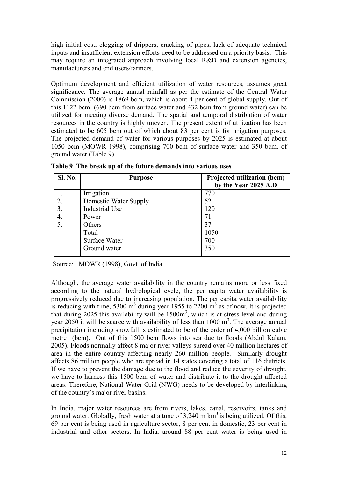high initial cost, clogging of drippers, cracking of pipes, lack of adequate technical inputs and insufficient extension efforts need to be addressed on a priority basis. This may require an integrated approach involving local R&D and extension agencies, manufacturers and end users/farmers.

Optimum development and efficient utilization of water resources, assumes great significance**.** The average annual rainfall as per the estimate of the Central Water Commission (2000) is 1869 bcm, which is about 4 per cent of global supply. Out of this 1122 bcm (690 bcm from surface water and 432 bcm from ground water) can be utilized for meeting diverse demand. The spatial and temporal distribution of water resources in the country is highly uneven. The present extent of utilization has been estimated to be 605 bcm out of which about 83 per cent is for irrigation purposes. The projected demand of water for various purposes by 2025 is estimated at about 1050 bcm (MOWR 1998), comprising 700 bcm of surface water and 350 bcm. of ground water (Table 9).

| <b>Sl. No.</b> | <b>Purpose</b>               | Projected utilization (bcm)<br>by the Year 2025 A.D |
|----------------|------------------------------|-----------------------------------------------------|
| 1.             | Irrigation                   | 770                                                 |
| 2.             | <b>Domestic Water Supply</b> | 52                                                  |
| 3.             | Industrial Use               | 120                                                 |
| 4.             | Power                        | 71                                                  |
| 5.             | Others                       | 37                                                  |
|                | Total                        | 1050                                                |
|                | Surface Water                | 700                                                 |
|                | Ground water                 | 350                                                 |

**Table 9 The break up of the future demands into various uses** 

Source: MOWR (1998), Govt. of India

Although, the average water availability in the country remains more or less fixed according to the natural hydrological cycle, the per capita water availability is progressively reduced due to increasing population. The per capita water availability is reducing with time, 5300  $m<sup>3</sup>$  during year 1955 to 2200  $m<sup>3</sup>$  as of now. It is projected that during 2025 this availability will be  $1500m<sup>3</sup>$ , which is at stress level and during year 2050 it will be scarce with availability of less than  $1000 \text{ m}^3$ . The average annual precipitation including snowfall is estimated to be of the order of 4,000 billion cubic metre (bcm). Out of this 1500 bcm flows into sea due to floods (Abdul Kalam, 2005). Floods normally affect 8 major river valleys spread over 40 million hectares of area in the entire country affecting nearly 260 million people. Similarly drought affects 86 million people who are spread in 14 states covering a total of 116 districts. If we have to prevent the damage due to the flood and reduce the severity of drought, we have to harness this 1500 bcm of water and distribute it to the drought affected areas. Therefore, National Water Grid (NWG) needs to be developed by interlinking of the country's major river basins.

In India, major water resources are from rivers, lakes, canal, reservoirs, tanks and ground water. Globally, fresh water at a tune of  $3,240 \text{ m km}^3$  is being utilized. Of this, 69 per cent is being used in agriculture sector, 8 per cent in domestic, 23 per cent in industrial and other sectors. In India, around 88 per cent water is being used in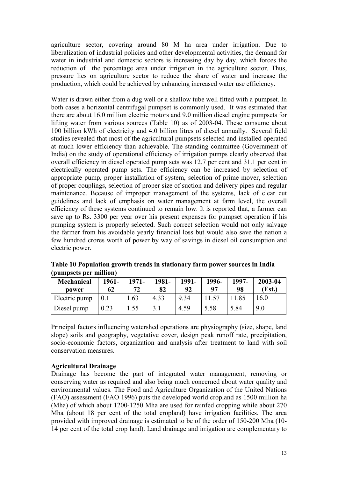agriculture sector, covering around 80 M ha area under irrigation. Due to liberalization of industrial policies and other developmental activities, the demand for water in industrial and domestic sectors is increasing day by day, which forces the reduction of the percentage area under irrigation in the agriculture sector. Thus, pressure lies on agriculture sector to reduce the share of water and increase the production, which could be achieved by enhancing increased water use efficiency.

Water is drawn either from a dug well or a shallow tube well fitted with a pumpset. In both cases a horizontal centrifugal pumpset is commonly used. It was estimated that there are about 16.0 million electric motors and 9.0 million diesel engine pumpsets for lifting water from various sources (Table 10) as of 2003-04. These consume about 100 billion kWh of electricity and 4.0 billion litres of diesel annually. Several field studies revealed that most of the agricultural pumpsets selected and installed operated at much lower efficiency than achievable. The standing committee (Government of India) on the study of operational efficiency of irrigation pumps clearly observed that overall efficiency in diesel operated pump sets was 12.7 per cent and 31.1 per cent in electrically operated pump sets. The efficiency can be increased by selection of appropriate pump, proper installation of system, selection of prime mover, selection of proper couplings, selection of proper size of suction and delivery pipes and regular maintenance. Because of improper management of the systems, lack of clear cut guidelines and lack of emphasis on water management at farm level, the overall efficiency of these systems continued to remain low. It is reported that, a farmer can save up to Rs. 3300 per year over his present expenses for pumpset operation if his pumping system is properly selected. Such correct selection would not only salvage the farmer from his avoidable yearly financial loss but would also save the nation a few hundred crores worth of power by way of savings in diesel oil consumption and electric power.

| <b>Mechanical</b><br>power | 1961-<br>62 | 1971-<br>72 | 1981-<br>82 | 1991-<br>92 | 1996-<br>97 | 1997-<br>98 | 2003-04<br>(Est.) |
|----------------------------|-------------|-------------|-------------|-------------|-------------|-------------|-------------------|
| Electric pump              | 0.1         | .63         | 4.33        | 9.34        |             | 11.85       | 16.0              |
| Diesel pump                | 0.23        | .55         |             | 4.59        | 5.58        | 5.84        | 9.0               |

**Table 10 Population growth trends in stationary farm power sources in India (pumpsets per million)** 

Principal factors influencing watershed operations are physiography (size, shape, land slope) soils and geography, vegetative cover, design peak runoff rate, precipitation, socio-economic factors, organization and analysis after treatment to land with soil conservation measures.

# **Agricultural Drainage**

Drainage has become the part of integrated water management, removing or conserving water as required and also being much concerned about water quality and environmental values. The Food and Agriculture Organization of the United Nations (FAO) assessment (FAO 1996) puts the developed world cropland as 1500 million ha (Mha) of which about 1200-1250 Mha are used for rainfed cropping while about 270 Mha (about 18 per cent of the total cropland) have irrigation facilities. The area provided with improved drainage is estimated to be of the order of 150-200 Mha (10- 14 per cent of the total crop land). Land drainage and irrigation are complementary to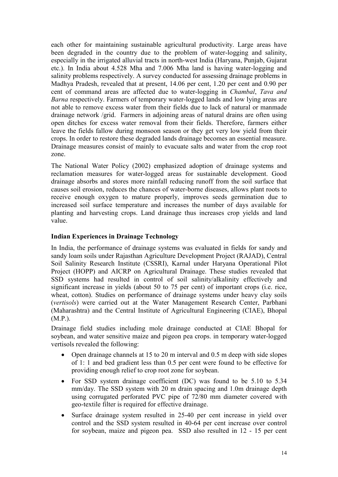each other for maintaining sustainable agricultural productivity. Large areas have been degraded in the country due to the problem of water-logging and salinity, especially in the irrigated alluvial tracts in north-west India (Haryana, Punjab, Gujarat etc.). In India about 4.528 Mha and 7.006 Mha land is having water-logging and salinity problems respectively. A survey conducted for assessing drainage problems in Madhya Pradesh, revealed that at present, 14.06 per cent, 1.20 per cent and 0.90 per cent of command areas are affected due to water-logging in *Chambal*, *Tava and Barna* respectively. Farmers of temporary water-logged lands and low lying areas are not able to remove excess water from their fields due to lack of natural or manmade drainage network /grid. Farmers in adjoining areas of natural drains are often using open ditches for excess water removal from their fields. Therefore, farmers either leave the fields fallow during monsoon season or they get very low yield from their crops. In order to restore these degraded lands drainage becomes an essential measure. Drainage measures consist of mainly to evacuate salts and water from the crop root zone.

The National Water Policy (2002) emphasized adoption of drainage systems and reclamation measures for water-logged areas for sustainable development. Good drainage absorbs and stores more rainfall reducing runoff from the soil surface that causes soil erosion, reduces the chances of water-borne diseases, allows plant roots to receive enough oxygen to mature properly, improves seeds germination due to increased soil surface temperature and increases the number of days available for planting and harvesting crops. Land drainage thus increases crop yields and land value.

# **Indian Experiences in Drainage Technology**

In India, the performance of drainage systems was evaluated in fields for sandy and sandy loam soils under Rajasthan Agriculture Development Project (RAJAD), Central Soil Salinity Research Institute (CSSRI), Karnal under Haryana Operational Pilot Project (HOPP) and AICRP on Agricultural Drainage. These studies revealed that SSD systems had resulted in control of soil salinity/alkalinity effectively and significant increase in yields (about 50 to 75 per cent) of important crops (i.e. rice, wheat, cotton). Studies on performance of drainage systems under heavy clay soils (*vertisols*) were carried out at the Water Management Research Center, Parbhani (Maharashtra) and the Central Institute of Agricultural Engineering (CIAE), Bhopal (M.P.).

Drainage field studies including mole drainage conducted at CIAE Bhopal for soybean, and water sensitive maize and pigeon pea crops. in temporary water-logged vertisols revealed the following:

- Open drainage channels at 15 to 20 m interval and 0.5 m deep with side slopes of 1: 1 and bed gradient less than 0.5 per cent were found to be effective for providing enough relief to crop root zone for soybean.
- For SSD system drainage coefficient (DC) was found to be 5.10 to 5.34 mm/day. The SSD system with 20 m drain spacing and 1.0m drainage depth using corrugated perforated PVC pipe of 72/80 mm diameter covered with geo-textile filter is required for effective drainage.
- Surface drainage system resulted in 25-40 per cent increase in yield over control and the SSD system resulted in 40-64 per cent increase over control for soybean, maize and pigeon pea. SSD also resulted in 12 - 15 per cent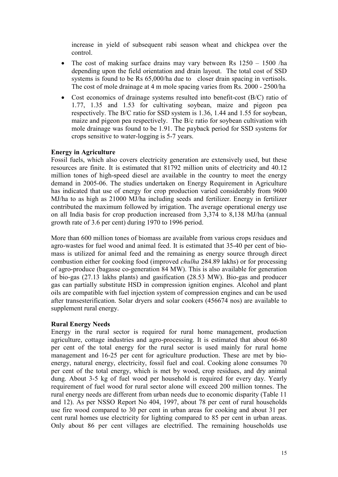increase in yield of subsequent rabi season wheat and chickpea over the control.

- The cost of making surface drains may vary between Rs 1250 1500 /ha depending upon the field orientation and drain layout. The total cost of SSD systems is found to be Rs  $65,000/ha$  due to closer drain spacing in vertisols. The cost of mole drainage at 4 m mole spacing varies from Rs. 2000 - 2500/ha
- Cost economics of drainage systems resulted into benefit-cost (B/C) ratio of 1.77, 1.35 and 1.53 for cultivating soybean, maize and pigeon pea respectively. The B/C ratio for SSD system is 1.36, 1.44 and 1.55 for soybean, maize and pigeon pea respectively. The B/c ratio for soybean cultivation with mole drainage was found to be 1.91. The payback period for SSD systems for crops sensitive to water-logging is 5-7 years.

#### **Energy in Agriculture**

Fossil fuels, which also covers electricity generation are extensively used, but these resources are finite. It is estimated that 81792 million units of electricity and 40.12 million tones of high-speed diesel are available in the country to meet the energy demand in 2005-06. The studies undertaken on Energy Requirement in Agriculture has indicated that use of energy for crop production varied considerably from 9600 MJ/ha to as high as 21000 MJ/ha including seeds and fertilizer. Energy in fertilizer contributed the maximum followed by irrigation. The average operational energy use on all India basis for crop production increased from 3,374 to 8,138 MJ/ha (annual growth rate of 3.6 per cent) during 1970 to 1996 period.

More than 600 million tones of biomass are available from various crops residues and agro-wastes for fuel wood and animal feed. It is estimated that 35-40 per cent of biomass is utilized for animal feed and the remaining as energy source through direct combustion either for cooking food (improved *chulha* 284.89 lakhs) or for processing of agro-produce (bagasse co-generation 84 MW). This is also available for generation of bio-gas (27.13 lakhs plants) and gasification (28.53 MW). Bio-gas and producer gas can partially substitute HSD in compression ignition engines. Alcohol and plant oils are compatible with fuel injection system of compression engines and can be used after transesterification. Solar dryers and solar cookers (456674 nos) are available to supplement rural energy.

#### **Rural Energy Needs**

Energy in the rural sector is required for rural home management, production agriculture, cottage industries and agro-processing. It is estimated that about 66-80 per cent of the total energy for the rural sector is used mainly for rural home management and 16-25 per cent for agriculture production. These are met by bioenergy, natural energy, electricity, fossil fuel and coal. Cooking alone consumes 70 per cent of the total energy, which is met by wood, crop residues, and dry animal dung. About 3-5 kg of fuel wood per household is required for every day. Yearly requirement of fuel wood for rural sector alone will exceed 200 million tonnes. The rural energy needs are different from urban needs due to economic disparity (Table 11 and 12). As per NSSO Report No 404, 1997, about 78 per cent of rural households use fire wood compared to 30 per cent in urban areas for cooking and about 31 per cent rural homes use electricity for lighting compared to 85 per cent in urban areas. Only about 86 per cent villages are electrified. The remaining households use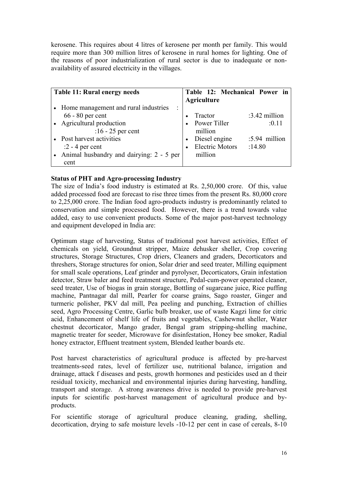kerosene. This requires about 4 litres of kerosene per month per family. This would require more than 300 million litres of kerosene in rural homes for lighting. One of the reasons of poor industrialization of rural sector is due to inadequate or nonavailability of assured electricity in the villages.

| Table 11: Rural energy needs                                                                                                                                                                                                | Table 12: Mechanical Power in<br><b>Agriculture</b>                                                   |                                                   |
|-----------------------------------------------------------------------------------------------------------------------------------------------------------------------------------------------------------------------------|-------------------------------------------------------------------------------------------------------|---------------------------------------------------|
| • Home management and rural industries<br>İ<br>$66 - 80$ per cent<br>• Agricultural production<br>:16 - 25 per cent<br>• Post harvest activities<br>$:2 - 4$ per cent<br>• Animal husbandry and dairying: 2 - 5 per<br>cent | Tractor<br>Power Tiller<br>million<br>Diesel engine<br>$\bullet$<br><b>Electric Motors</b><br>million | :3.42 million<br>:0.11<br>:5.94 million<br>:14.80 |

# **Status of PHT and Agro-processing Industry**

The size of India's food industry is estimated at Rs. 2,50,000 crore. Of this, value added processed food are forecast to rise three times from the present Rs. 80,000 crore to 2,25,000 crore. The Indian food agro-products industry is predominantly related to conservation and simple processed food. However, there is a trend towards value added, easy to use convenient products. Some of the major post-harvest technology and equipment developed in India are:

Optimum stage of harvesting, Status of traditional post harvest activities, Effect of chemicals on yield, Groundnut stripper, Maize dehusker sheller, Crop covering structures, Storage Structures, Crop driers, Cleaners and graders, Decorticators and threshers, Storage structures for onion, Solar drier and seed treater, Milling equipment for small scale operations, Leaf grinder and pyrolyser, Decorticators, Grain infestation detector, Straw baler and feed treatment structure, Pedal-cum-power operated cleaner, seed treater, Use of biogas in grain storage, Bottling of sugarcane juice, Rice puffing machine, Pantnagar dal mill, Pearler for coarse grains, Sago roaster, Ginger and turmeric polisher, PKV dal mill, Pea peeling and punching, Extraction of chillies seed, Agro Processing Centre, Garlic bulb breaker, use of waste Kagzi lime for citric acid, Enhancement of shelf life of fruits and vegetables, Cashewnut sheller, Water chestnut decorticator, Mango grader, Bengal gram stripping-shelling machine, magnetic treater for seeder, Microwave for disinfestation, Honey bee smoker, Radial honey extractor, Effluent treatment system, Blended leather boards etc.

Post harvest characteristics of agricultural produce is affected by pre-harvest treatments-seed rates, level of fertilizer use, nutritional balance, irrigation and drainage, attack f diseases and pests, growth hormones and pesticides used an d their residual toxicity, mechanical and environmental injuries during harvesting, handling, transport and storage. A strong awareness drive is needed to provide pre-harvest inputs for scientific post-harvest management of agricultural produce and byproducts.

For scientific storage of agricultural produce cleaning, grading, shelling, decortication, drying to safe moisture levels -10-12 per cent in case of cereals, 8-10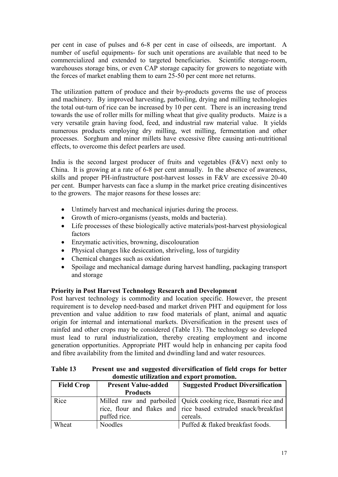per cent in case of pulses and 6-8 per cent in case of oilseeds, are important. A number of useful equipments- for such unit operations are available that need to be commercialized and extended to targeted beneficiaries. Scientific storage-room, warehouses storage bins, or even CAP storage capacity for growers to negotiate with the forces of market enabling them to earn 25-50 per cent more net returns.

The utilization pattern of produce and their by-products governs the use of process and machinery. By improved harvesting, parboiling, drying and milling technologies the total out-turn of rice can be increased by 10 per cent. There is an increasing trend towards the use of roller mills for milling wheat that give quality products. Maize is a very versatile grain having food, feed, and industrial raw material value. It yields numerous products employing dry milling, wet milling, fermentation and other processes. Sorghum and minor millets have excessive fibre causing anti-nutritional effects, to overcome this defect pearlers are used.

India is the second largest producer of fruits and vegetables (F&V) next only to China. It is growing at a rate of 6-8 per cent annually. In the absence of awareness, skills and proper PH-infrastructure post-harvest losses in F&V are excessive 20-40 per cent. Bumper harvests can face a slump in the market price creating disincentives to the growers. The major reasons for these losses are:

- Untimely harvest and mechanical injuries during the process.
- Growth of micro-organisms (yeasts, molds and bacteria).
- Life processes of these biologically active materials/post-harvest physiological factors
- Enzymatic activities, browning, discolouration
- Physical changes like desiccation, shriveling, loss of turgidity
- Chemical changes such as oxidation
- Spoilage and mechanical damage during harvest handling, packaging transport and storage

# **Priority in Post Harvest Technology Research and Development**

Post harvest technology is commodity and location specific. However, the present requirement is to develop need-based and market driven PHT and equipment for loss prevention and value addition to raw food materials of plant, animal and aquatic origin for internal and international markets. Diversification in the present uses of rainfed and other crops may be considered (Table 13). The technology so developed must lead to rural industrialization, thereby creating employment and income generation opportunities. Appropriate PHT would help in enhancing per capita food and fibre availability from the limited and dwindling land and water resources.

| Table 13 | Present use and suggested diversification of field crops for better |
|----------|---------------------------------------------------------------------|
|          | domestic utilization and export promotion.                          |

| <b>Field Crop</b> | <b>Present Value-added</b> | <b>Suggested Product Diversification</b>                        |
|-------------------|----------------------------|-----------------------------------------------------------------|
|                   | <b>Products</b>            |                                                                 |
| Rice              |                            | Milled raw and parboiled   Quick cooking rice, Basmati rice and |
|                   |                            | rice, flour and flakes and rice based extruded snack/breakfast  |
|                   | puffed rice.               | cereals.                                                        |
| Wheat             | Noodles                    | Puffed & flaked breakfast foods.                                |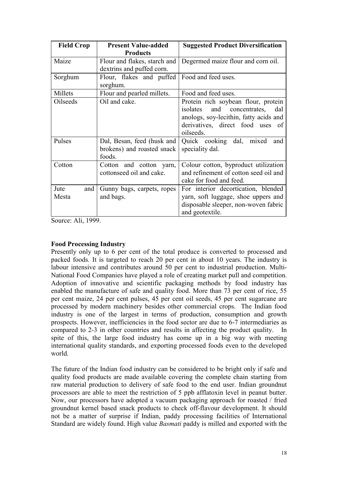| <b>Field Crop</b>    | <b>Present Value-added</b><br><b>Products</b>                      | <b>Suggested Product Diversification</b>                                                                                                                                    |
|----------------------|--------------------------------------------------------------------|-----------------------------------------------------------------------------------------------------------------------------------------------------------------------------|
| Maize                | Flour and flakes, starch and<br>dextrins and puffed corn.          | Degermed maize flour and corn oil.                                                                                                                                          |
| Sorghum              | Flour, flakes and puffed<br>sorghum.                               | Food and feed uses.                                                                                                                                                         |
| Millets              | Flour and pearled millets.                                         | Food and feed uses.                                                                                                                                                         |
| Oilseeds             | Oil and cake.                                                      | Protein rich soybean flour, protein<br>and concentrates,<br>isolates<br>dal<br>anologs, soy-lecithin, fatty acids and<br>derivatives, direct food uses<br>- of<br>oilseeds. |
| Pulses               | Dal, Besan, feed (husk and<br>brokens) and roasted snack<br>foods. | Quick cooking dal, mixed<br>and<br>speciality dal.                                                                                                                          |
| Cotton               | Cotton and cotton yarn,<br>cottonseed oil and cake.                | Colour cotton, byproduct utilization<br>and refinement of cotton seed oil and<br>cake for food and feed.                                                                    |
| Jute<br>and<br>Mesta | Gunny bags, carpets, ropes<br>and bags.                            | For interior decortication, blended<br>yarn, soft luggage, shoe uppers and<br>disposable sleeper, non-woven fabric<br>and geotextile.                                       |

Source: Ali, 1999.

# **Food Processing Industry**

Presently only up to 6 per cent of the total produce is converted to processed and packed foods*.* It is targeted to reach 20 per cent in about 10 years. The industry is labour intensive and contributes around 50 per cent to industrial production. Multi-National Food Companies have played a role of creating market pull and competition. Adoption of innovative and scientific packaging methods by food industry has enabled the manufacture of safe and quality food. More than 73 per cent of rice, 55 per cent maize, 24 per cent pulses, 45 per cent oil seeds, 45 per cent sugarcane are processed by modern machinery besides other commercial crops. The Indian food industry is one of the largest in terms of production, consumption and growth prospects. However, inefficiencies in the food sector are due to 6-7 intermediaries as compared to 2-3 in other countries and results in affecting the product quality. In spite of this, the large food industry has come up in a big way with meeting international quality standards, and exporting processed foods even to the developed world.

The future of the Indian food industry can be considered to be bright only if safe and quality food products are made available covering the complete chain starting from raw material production to delivery of safe food to the end user. Indian groundnut processors are able to meet the restriction of 5 ppb afflatoxin level in peanut butter. Now, our processors have adopted a vacuum packaging approach for roasted / fried groundnut kernel based snack products to check off-flavour development. It should not be a matter of surprise if Indian, paddy processing facilities of International Standard are widely found. High value *Basmati* paddy is milled and exported with the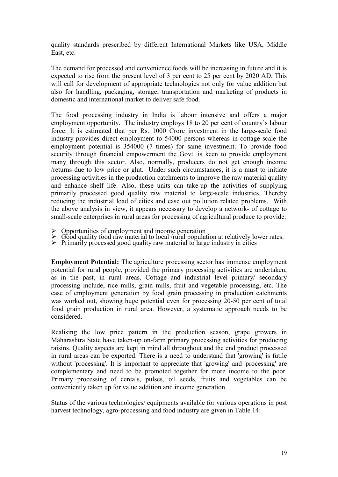quality standards prescribed by different International Markets like USA, Middle East, etc.

The demand for processed and convenience foods will be increasing in future and it is expected to rise from the present level of 3 per cent to 25 per cent by 2020 AD. This will call for development of appropriate technologies not only for value addition but also for handling, packaging, storage, transportation and marketing of products in domestic and international market to deliver safe food.

The food processing industry in India is labour intensive and offers a major employment opportunity. The industry employs 18 to 20 per cent of country's labour force. It is estimated that per Rs. 1000 Crore investment in the large-scale food industry provides direct employment to 54000 persons whereas in cottage scale the employment potential is 354000 (7 times) for same investment. To provide food security through financial empowerment the Govt. is keen to provide employment many through this sector. Also, normally, producers do not get enough income /returns due to low price or glut. Under such circumstances, it is a must to initiate processing activities in the production catchments to improve the raw material quality and enhance shelf life. Also, these units can take-up the activities of supplying primarily processed good quality raw material to large-scale industries. Thereby reducing the industrial load of cities and ease out pollution related problems. With the above analysis in view, it appears necessary to develop a network- of cottage to small-scale enterprises in rural areas for processing of agricultural produce to provide:

- Opportunities of employment and income generation
- $\triangleright$  Good quality food raw material to local /rural population at relatively lower rates.
- → Primarily processed good quality raw material to large industry in cities

**Employment Potential:** The agriculture processing sector has immense employment potential for rural people, provided the primary processing activities are undertaken, as in the past, in rural areas. Cottage and industrial level primary/ secondary processing include, rice mills, grain mills, fruit and vegetable processing, etc. The case of employment generation by food grain processing in production catchments was worked out, showing huge potential even for processing 20-50 per cent of total food grain production in rural area. However, a systematic approach needs to be considered.

Realising the low price pattern in the production season, grape growers in Maharashtra State have taken-up on-farm primary processing activities for producing raisins*.* Quality aspects are kept in mind all throughout and the end product processed in rural areas can be exported. There is a need to understand that 'growing' is futile without 'processing'. It is important to appreciate that 'growing' and 'processing' are complementary and need to be promoted together for more income to the poor. Primary processing of cereals, pulses, oil seeds, fruits and vegetables can be conveniently taken up for value addition and income generation.

Status of the various technologies/ equipments available for various operations in post harvest technology, agro-processing and food industry are given in Table 14: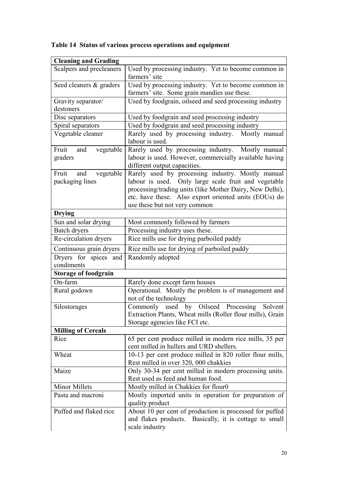| <b>Cleaning and Grading</b>                  |                                                                                                                                                                                                                                                                 |  |  |
|----------------------------------------------|-----------------------------------------------------------------------------------------------------------------------------------------------------------------------------------------------------------------------------------------------------------------|--|--|
| Scalpers and precleaners                     | Used by processing industry. Yet to become common in                                                                                                                                                                                                            |  |  |
|                                              | farmers' site                                                                                                                                                                                                                                                   |  |  |
| Seed cleaners & graders                      | Used by processing industry. Yet to become common in                                                                                                                                                                                                            |  |  |
|                                              | farmers' site. Some grain mandies use these.                                                                                                                                                                                                                    |  |  |
| Gravity separator/                           | Used by foodgrain, oilseed and seed processing industry                                                                                                                                                                                                         |  |  |
| destoners                                    |                                                                                                                                                                                                                                                                 |  |  |
| Disc separators                              | Used by foodgrain and seed processing industry                                                                                                                                                                                                                  |  |  |
| Spiral separators                            | Used by foodgrain and seed processing industry                                                                                                                                                                                                                  |  |  |
| Vegetable cleaner                            | Rarely used by processing industry. Mostly manual<br>labour is used.                                                                                                                                                                                            |  |  |
| vegetable<br>Fruit<br>and<br>graders         | Rarely used by processing industry. Mostly manual<br>labour is used. However, commercially available having<br>different output capacities.                                                                                                                     |  |  |
| Fruit<br>vegetable<br>and<br>packaging lines | Rarely used by processing industry. Mostly manual<br>labour is used. Only large scale fruit and vegetable<br>processing/trading units (like Mother Dairy, New Delhi),<br>etc. have these. Also export oriented units (EOUs) do<br>use these but not very common |  |  |
| <b>Drying</b>                                |                                                                                                                                                                                                                                                                 |  |  |
| Sun and solar drying                         | Most commonly followed by farmers                                                                                                                                                                                                                               |  |  |
| Batch dryers                                 | Processing industry uses these.                                                                                                                                                                                                                                 |  |  |
| Re-circulation dryers                        | Rice mills use for drying parboiled paddy                                                                                                                                                                                                                       |  |  |
| Continuous grain dryers                      | Rice mills use for drying of parboiled paddy                                                                                                                                                                                                                    |  |  |
| Dryers for spices and                        | Randomly adopted                                                                                                                                                                                                                                                |  |  |
| condiments                                   |                                                                                                                                                                                                                                                                 |  |  |
| <b>Storage of foodgrain</b>                  |                                                                                                                                                                                                                                                                 |  |  |
| On-farm                                      | Rarely done except farm houses                                                                                                                                                                                                                                  |  |  |
| Rural godown                                 | Operational. Mostly the problem is of management and<br>not of the technology                                                                                                                                                                                   |  |  |
| Silostorages                                 | Commonly used by Oilseed<br>Processing<br>Solvent<br>Extraction Plants, Wheat mills (Roller flour mills), Grain<br>Storage agencies like FCI etc.                                                                                                               |  |  |
| <b>Milling of Cereals</b>                    |                                                                                                                                                                                                                                                                 |  |  |
| Rice                                         | 65 per cent produce milled in modern rice mills, 35 per<br>cent milled in hullers and URD shellers.                                                                                                                                                             |  |  |
| Wheat                                        | 10-13 per cent produce milled in 820 roller flour mills,<br>Rest milled in over 320, 000 chakkies                                                                                                                                                               |  |  |
| Maize                                        | Only 30-34 per cent milled in modern processing units.<br>Rest used as feed and human food.                                                                                                                                                                     |  |  |
| Minor Millets                                | Mostly milled in Chakkies for flour0                                                                                                                                                                                                                            |  |  |
| Pasta and macroni                            | Mostly imported units in operation for preparation of<br>quality product                                                                                                                                                                                        |  |  |
| Puffed and flaked rice                       | About 10 per cent of production is processed for puffed<br>and flakes products. Basically, it is cottage to small<br>scale industry                                                                                                                             |  |  |

# **Table 14 Status of various process operations and equipment**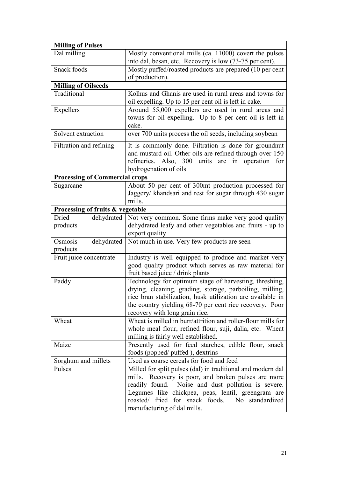| <b>Milling of Pulses</b>              |                                                                                                                                                                                                                                                                                                                        |
|---------------------------------------|------------------------------------------------------------------------------------------------------------------------------------------------------------------------------------------------------------------------------------------------------------------------------------------------------------------------|
| Dal milling                           | Mostly conventional mills (ca. 11000) covert the pulses                                                                                                                                                                                                                                                                |
|                                       | into dal, besan, etc. Recovery is low (73-75 per cent).                                                                                                                                                                                                                                                                |
| Snack foods                           | Mostly puffed/roasted products are prepared (10 per cent<br>of production).                                                                                                                                                                                                                                            |
| <b>Milling of Oilseeds</b>            |                                                                                                                                                                                                                                                                                                                        |
| Traditional                           | Kolhus and Ghanis are used in rural areas and towns for<br>oil expelling. Up to 15 per cent oil is left in cake.                                                                                                                                                                                                       |
| Expellers                             | Around 55,000 expellers are used in rural areas and<br>towns for oil expelling. Up to 8 per cent oil is left in<br>cake.                                                                                                                                                                                               |
| Solvent extraction                    | over 700 units process the oil seeds, including soybean                                                                                                                                                                                                                                                                |
| Filtration and refining               | It is commonly done. Filtration is done for groundnut<br>and mustard oil. Other oils are refined through over 150<br>refineries. Also, 300 units are in operation<br>for<br>hydrogenation of oils                                                                                                                      |
| <b>Processing of Commercial crops</b> |                                                                                                                                                                                                                                                                                                                        |
| Sugarcane                             | About 50 per cent of 300mt production processed for<br>Jaggery/ khandsari and rest for sugar through 430 sugar<br>mills.                                                                                                                                                                                               |
| Processing of fruits & vegetable      |                                                                                                                                                                                                                                                                                                                        |
| Dried<br>dehydrated                   | Not very common. Some firms make very good quality                                                                                                                                                                                                                                                                     |
| products                              | dehydrated leafy and other vegetables and fruits - up to<br>export quality                                                                                                                                                                                                                                             |
| dehydrated<br>Osmosis<br>products     | Not much in use. Very few products are seen                                                                                                                                                                                                                                                                            |
| Fruit juice concentrate               | Industry is well equipped to produce and market very<br>good quality product which serves as raw material for<br>fruit based juice / drink plants                                                                                                                                                                      |
| Paddy                                 | Technology for optimum stage of harvesting, threshing,<br>drying, cleaning, grading, storage, parboiling, milling,<br>rice bran stabilization, husk utilization are available in<br>the country yielding 68-70 per cent rice recovery. Poor<br>recovery with long grain rice.                                          |
| Wheat                                 | Wheat is milled in burr/attrition and roller-flour mills for<br>whole meal flour, refined flour, suji, dalia, etc. Wheat<br>milling is fairly well established.                                                                                                                                                        |
| Maize                                 | Presently used for feed starches, edible flour, snack<br>foods (popped/ puffed), dextrins                                                                                                                                                                                                                              |
| Sorghum and millets                   | Used as coarse cereals for food and feed                                                                                                                                                                                                                                                                               |
| Pulses                                | Milled for split pulses (dal) in traditional and modern dal<br>mills. Recovery is poor, and broken pulses are more<br>readily found.<br>Noise and dust pollution is severe.<br>Legumes like chickpea, peas, lentil, greengram are<br>roasted/ fried for snack foods.<br>No standardized<br>manufacturing of dal mills. |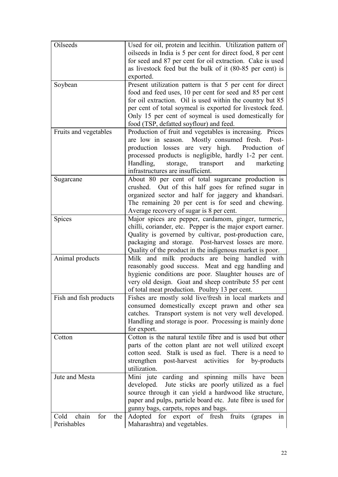| Oilseeds                    | Used for oil, protein and lecithin. Utilization pattern of  |
|-----------------------------|-------------------------------------------------------------|
|                             | oilseeds in India is 5 per cent for direct food, 8 per cent |
|                             | for seed and 87 per cent for oil extraction. Cake is used   |
|                             | as livestock feed but the bulk of it (80-85 per cent) is    |
|                             | exported.                                                   |
| Soybean                     | Present utilization pattern is that 5 per cent for direct   |
|                             | food and feed uses, 10 per cent for seed and 85 per cent    |
|                             | for oil extraction. Oil is used within the country but 85   |
|                             | per cent of total soymeal is exported for livestock feed.   |
|                             | Only 15 per cent of soymeal is used domestically for        |
|                             | food (TSP, defatted soyflour) and feed.                     |
|                             |                                                             |
| Fruits and vegetables       | Production of fruit and vegetables is increasing. Prices    |
|                             | are low in season. Mostly consumed fresh. Post-             |
|                             | production losses are very high. Production of              |
|                             | processed products is negligible, hardly 1-2 per cent.      |
|                             | Handling,<br>storage,<br>transport<br>and<br>marketing      |
|                             | infrastructures are insufficient.                           |
| Sugarcane                   | About 80 per cent of total sugarcane production is          |
|                             | crushed. Out of this half goes for refined sugar in         |
|                             | organized sector and half for jaggery and khandsari.        |
|                             | The remaining 20 per cent is for seed and chewing.          |
|                             | Average recovery of sugar is 8 per cent.                    |
| Spices                      | Major spices are pepper, cardamom, ginger, turmeric,        |
|                             | chilli, coriander, etc. Pepper is the major export earner.  |
|                             | Quality is governed by cultivar, post-production care,      |
|                             |                                                             |
|                             | packaging and storage. Post-harvest losses are more.        |
|                             | Quality of the product in the indigenous market is poor.    |
| Animal products             | Milk and milk products are being handled with               |
|                             | reasonably good success. Meat and egg handling and          |
|                             | hygienic conditions are poor. Slaughter houses are of       |
|                             | very old design. Goat and sheep contribute 55 per cent      |
|                             | of total meat production. Poultry 13 per cent.              |
| Fish and fish products      | Fishes are mostly sold live/fresh in local markets and      |
|                             | consumed domestically except prawn and other sea            |
|                             | catches. Transport system is not very well developed.       |
|                             | Handling and storage is poor. Processing is mainly done     |
|                             | for export.                                                 |
| Cotton                      | Cotton is the natural textile fibre and is used but other   |
|                             | parts of the cotton plant are not well utilized except      |
|                             | cotton seed. Stalk is used as fuel. There is a need to      |
|                             | strengthen                                                  |
|                             | post-harvest activities for by-products                     |
|                             | utilization.                                                |
| Jute and Mesta              | Mini jute carding and spinning mills have been              |
|                             | Jute sticks are poorly utilized as a fuel<br>developed.     |
|                             | source through it can yield a hardwood like structure,      |
|                             | paper and pulps, particle board etc. Jute fibre is used for |
|                             | gunny bags, carpets, ropes and bags.                        |
| chain<br>for<br>Cold<br>the | Adopted for export of fresh fruits<br>(grapes)<br>1n        |
| Perishables                 | Maharashtra) and vegetables.                                |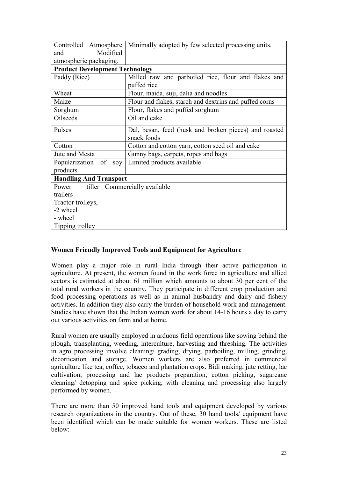| Controlled Atmosphere                 | Minimally adopted by few selected processing units.    |  |  |
|---------------------------------------|--------------------------------------------------------|--|--|
| Modified<br>and                       |                                                        |  |  |
| atmospheric packaging.                |                                                        |  |  |
| <b>Product Development Technology</b> |                                                        |  |  |
| Paddy (Rice)                          | Milled raw and parboiled rice, flour and flakes and    |  |  |
|                                       | puffed rice                                            |  |  |
| Wheat                                 | Flour, maida, suji, dalia and noodles                  |  |  |
| Maize                                 | Flour and flakes, starch and dextrins and puffed corns |  |  |
| Sorghum                               | Flour, flakes and puffed sorghum                       |  |  |
| Oilseeds                              | Oil and cake                                           |  |  |
| Pulses                                | Dal, besan, feed (husk and broken pieces) and roasted  |  |  |
|                                       | snack foods                                            |  |  |
| Cotton                                | Cotton and cotton yarn, cotton seed oil and cake       |  |  |
| Jute and Mesta                        | Gunny bags, carpets, ropes and bags                    |  |  |
| Popularization of                     | soy   Limited products available                       |  |  |
| products                              |                                                        |  |  |
| <b>Handling And Transport</b>         |                                                        |  |  |
| tiller  <br>Power                     | Commercially available                                 |  |  |
| trailers                              |                                                        |  |  |
| Tractor trolleys,                     |                                                        |  |  |
| -2 wheel                              |                                                        |  |  |
| - wheel                               |                                                        |  |  |
| Tipping trolley                       |                                                        |  |  |

# **Women Friendly Improved Tools and Equipment for Agriculture**

Women play a major role in rural India through their active participation in agriculture. At present, the women found in the work force in agriculture and allied sectors is estimated at about 61 million which amounts to about 30 per cent of the total rural workers in the country. They participate in different crop production and food processing operations as well as in animal husbandry and dairy and fishery activities. In addition they also carry the burden of household work and management. Studies have shown that the Indian women work for about 14-16 hours a day to carry out various activities on farm and at home.

Rural women are usually employed in arduous field operations like sowing behind the plough, transplanting, weeding, interculture, harvesting and threshing. The activities in agro processing involve cleaning/ grading, drying, parboiling, milling, grinding, decortication and storage. Women workers are also preferred in commercial agriculture like tea, coffee, tobacco and plantation crops. Bidi making, jute retting, lac cultivation, processing and lac products preparation, cotton picking, sugarcane cleaning/ detopping and spice picking, with cleaning and processing also largely performed by women.

There are more than 50 improved hand tools and equipment developed by various research organizations in the country. Out of these, 30 hand tools/ equipment have been identified which can be made suitable for women workers. These are listed below: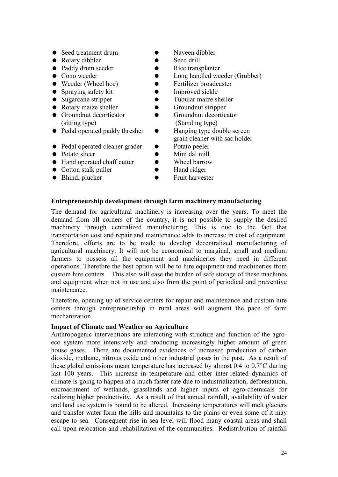- Seed treatment drum Naveen dibbler
- Rotary dibbler Seed drill
- 
- 
- $\bullet$  Weeder (Wheel hoe)
- 
- 
- Rotary maize sheller Groundnut stripper
- (sitting type) (Standing type)
- Pedal operated paddy thresher Hanging type double screen
- Pedal operated cleaner grader Potato peeler
- 
- Hand operated chaff cutter Wheel barrow
- Cotton stalk puller Hand ridger
- 
- 
- 
- Paddy drum seeder Rice transplanter
- Cono weeder Long handled weeder (Grubber)
	-
- Spraying safety kit Improved sickle
- Sugarcane stripper Tubular maize sheller
	-
- Groundnut decorticator Groundnut decorticator
	- grain cleaner with sac holder
	-
- Potato slicer Mini dal mill
	-
	-
- Bhindi plucker • Fruit harvester

# **Entrepreneurship development through farm machinery manufacturing**

The demand for agricultural machinery is increasing over the years. To meet the demand from all corners of the country, it is not possible to supply the desired machinery through centralized manufacturing. This is due to the fact that transportation cost and repair and maintenance adds to increase in cost of equipment. Therefore, efforts are to be made to develop decentralized manufacturing of agricultural machinery. It will not be economical to marginal, small and medium farmers to possess all the equipment and machineries they need in different operations. Therefore the best option will be to hire equipment and machineries from custom hire centers. This also will ease the burden of safe storage of these machines and equipment when not in use and also from the point of periodical and preventive maintenance.

Therefore, opening up of service centers for repair and maintenance and custom hire centers through entrepreneurship in rural areas will augment the pace of farm mechanization.

#### **Impact of Climate and Weather on Agriculture**

Anthropogenic interventions are interacting with structure and function of the agroeco system more intensively and producing increasingly higher amount of green house gases. There are documented evidences of increased production of carbon dioxide, methane, nitrous oxide and other industrial gases in the past. As a result of these global emissions mean temperature has increased by almost 0.4 to 0.7°C during last 100 years. This increase in temperature and other inter-related dynamics of climate is going to happen at a much faster rate due to industrialization, deforestation, encroachment of wetlands, grasslands and higher inputs of agro-chemicals for realizing higher productivity. As a result of that annual rainfall, availability of water and land use system is bound to be altered. Increasing temperatures will melt glaciers and transfer water form the hills and mountains to the plains or even some of it may escape to sea. Consequent rise in sea level will flood many coastal areas and shall call upon relocation and rehabilitation of the communities. Redistribution of rainfall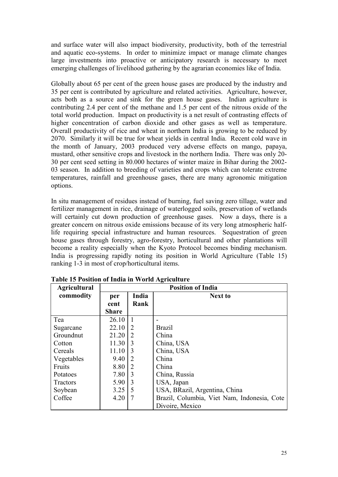and surface water will also impact biodiversity, productivity, both of the terrestrial and aquatic eco-systems. In order to minimize impact or manage climate changes large investments into proactive or anticipatory research is necessary to meet emerging challenges of livelihood gathering by the agrarian economies like of India.

Globally about 65 per cent of the green house gases are produced by the industry and 35 per cent is contributed by agriculture and related activities. Agriculture, however, acts both as a source and sink for the green house gases. Indian agriculture is contributing 2.4 per cent of the methane and 1.5 per cent of the nitrous oxide of the total world production. Impact on productivity is a net result of contrasting effects of higher concentration of carbon dioxide and other gases as well as temperature. Overall productivity of rice and wheat in northern India is growing to be reduced by 2070. Similarly it will be true for wheat yields in central India. Recent cold wave in the month of January, 2003 produced very adverse effects on mango, papaya, mustard, other sensitive crops and livestock in the northern India. There was only 20- 30 per cent seed setting in 80.000 hectares of winter maize in Bihar during the 2002- 03 season. In addition to breeding of varieties and crops which can tolerate extreme temperatures, rainfall and greenhouse gases, there are many agronomic mitigation options.

In situ management of residues instead of burning, fuel saving zero tillage, water and fertilizer management in rice, drainage of waterlogged soils, preservation of wetlands will certainly cut down production of greenhouse gases. Now a days, there is a greater concern on nitrous oxide emissions because of its very long atmospheric halflife requiring special infrastructure and human resources. Sequestration of green house gases through forestry, agro-forestry, horticultural and other plantations will become a reality especially when the Kyoto Protocol becomes binding mechanism. India is progressing rapidly noting its position in World Agriculture (Table 15) ranking 1-3 in most of crop/horticultural items.

| <b>Agricultural</b> | <b>Position of India</b>       |               |                                             |
|---------------------|--------------------------------|---------------|---------------------------------------------|
| commodity           | India<br><b>Next to</b><br>per |               |                                             |
|                     | cent                           | Rank          |                                             |
|                     | <b>Share</b>                   |               |                                             |
| Tea                 | 26.10                          | $\mathbf{1}$  |                                             |
| Sugarcane           | 22.10                          | 2             | <b>Brazil</b>                               |
| Groundnut           | 21.20                          | 2             | China                                       |
| Cotton              | 11.30                          | $\mathcal{E}$ | China, USA                                  |
| Cereals             | 11.10                          | 3             | China, USA                                  |
| Vegetables          | 9.40                           | 2             | China                                       |
| Fruits              | 8.80                           | 2             | China                                       |
| Potatoes            | 7.80                           | 3             | China, Russia                               |
| <b>Tractors</b>     | 5.90                           | 3             | USA, Japan                                  |
| Soybean             | 3.25                           | 5             | USA, BRazil, Argentina, China               |
| Coffee              | 4.20                           | 7             | Brazil, Columbia, Viet Nam, Indonesia, Cote |
|                     |                                |               | Divoire, Mexico                             |

**Table 15 Position of India in World Agriculture**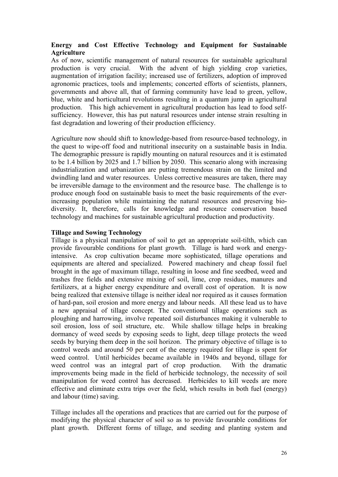# **Energy and Cost Effective Technology and Equipment for Sustainable Agriculture**

As of now, scientific management of natural resources for sustainable agricultural production is very crucial. With the advent of high yielding crop varieties, augmentation of irrigation facility; increased use of fertilizers, adoption of improved agronomic practices, tools and implements; concerted efforts of scientists, planners, governments and above all, that of farming community have lead to green, yellow, blue, white and horticultural revolutions resulting in a quantum jump in agricultural production. This high achievement in agricultural production has lead to food selfsufficiency. However, this has put natural resources under intense strain resulting in fast degradation and lowering of their production efficiency.

Agriculture now should shift to knowledge-based from resource-based technology, in the quest to wipe-off food and nutritional insecurity on a sustainable basis in India. The demographic pressure is rapidly mounting on natural resources and it is estimated to be 1.4 billion by 2025 and 1.7 billion by 2050. This scenario along with increasing industrialization and urbanization are putting tremendous strain on the limited and dwindling land and water resources. Unless corrective measures are taken, there may be irreversible damage to the environment and the resource base. The challenge is to produce enough food on sustainable basis to meet the basic requirements of the everincreasing population while maintaining the natural resources and preserving biodiversity. It, therefore, calls for knowledge and resource conservation based technology and machines for sustainable agricultural production and productivity.

# **Tillage and Sowing Technology**

Tillage is a physical manipulation of soil to get an appropriate soil-tilth, which can provide favourable conditions for plant growth. Tillage is hard work and energyintensive. As crop cultivation became more sophisticated, tillage operations and equipments are altered and specialized. Powered machinery and cheap fossil fuel brought in the age of maximum tillage, resulting in loose and fine seedbed, weed and trashes free fields and extensive mixing of soil, lime, crop residues, manures and fertilizers, at a higher energy expenditure and overall cost of operation. It is now being realized that extensive tillage is neither ideal nor required as it causes formation of hard-pan, soil erosion and more energy and labour needs. All these lead us to have a new appraisal of tillage concept. The conventional tillage operations such as ploughing and harrowing, involve repeated soil disturbances making it vulnerable to soil erosion, loss of soil structure, etc. While shallow tillage helps in breaking dormancy of weed seeds by exposing seeds to light, deep tillage protects the weed seeds by burying them deep in the soil horizon. The primary objective of tillage is to control weeds and around 50 per cent of the energy required for tillage is spent for weed control. Until herbicides became available in 1940s and beyond, tillage for weed control was an integral part of crop production. With the dramatic improvements being made in the field of herbicide technology, the necessity of soil manipulation for weed control has decreased. Herbicides to kill weeds are more effective and eliminate extra trips over the field, which results in both fuel (energy) and labour (time) saving.

Tillage includes all the operations and practices that are carried out for the purpose of modifying the physical character of soil so as to provide favourable conditions for plant growth. Different forms of tillage, and seeding and planting system and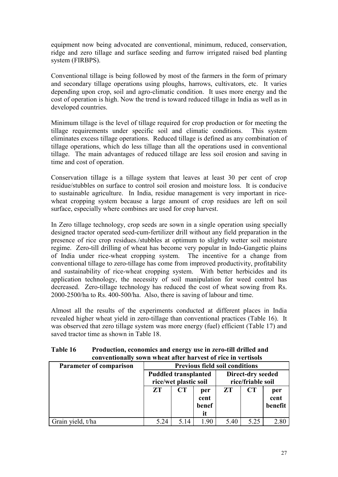equipment now being advocated are conventional, minimum, reduced, conservation, ridge and zero tillage and surface seeding and furrow irrigated raised bed planting system (FIRBPS).

Conventional tillage is being followed by most of the farmers in the form of primary and secondary tillage operations using ploughs, harrows, cultivators, etc. It varies depending upon crop, soil and agro-climatic condition. It uses more energy and the cost of operation is high. Now the trend is toward reduced tillage in India as well as in developed countries.

Minimum tillage is the level of tillage required for crop production or for meeting the tillage requirements under specific soil and climatic conditions. This system eliminates excess tillage operations. Reduced tillage is defined as any combination of tillage operations, which do less tillage than all the operations used in conventional tillage. The main advantages of reduced tillage are less soil erosion and saving in time and cost of operation.

Conservation tillage is a tillage system that leaves at least 30 per cent of crop residue/stubbles on surface to control soil erosion and moisture loss. It is conducive to sustainable agriculture. In India, residue management is very important in ricewheat cropping system because a large amount of crop residues are left on soil surface, especially where combines are used for crop harvest.

In Zero tillage technology, crop seeds are sown in a single operation using specially designed tractor operated seed-cum-fertilizer drill without any field preparation in the presence of rice crop residues./stubbles at optimum to slightly wetter soil moisture regime. Zero-till drilling of wheat has become very popular in Indo-Gangetic plains of India under rice-wheat cropping system. The incentive for a change from conventional tillage to zero-tillage has come from improved productivity, profitability and sustainability of rice-wheat cropping system. With better herbicides and its application technology, the necessity of soil manipulation for weed control has decreased. Zero-tillage technology has reduced the cost of wheat sowing from Rs. 2000-2500/ha to Rs. 400-500/ha. Also, there is saving of labour and time.

Almost all the results of the experiments conducted at different places in India revealed higher wheat yield in zero-tillage than conventional practices (Table 16). It was observed that zero tillage system was more energy (fuel) efficient (Table 17) and saved tractor time as shown in Table 18.

| Table 16 | Production, economics and energy use in zero-till drilled and |
|----------|---------------------------------------------------------------|
|          | conventionally sown wheat after harvest of rice in vertisols  |

| <b>Parameter of comparison</b> | <b>Previous field soil conditions</b>                                                          |      |                            |      |      |                        |  |
|--------------------------------|------------------------------------------------------------------------------------------------|------|----------------------------|------|------|------------------------|--|
|                                | Direct-dry seeded<br><b>Puddled transplanted</b><br>rice/wet plastic soil<br>rice/friable soil |      |                            |      |      |                        |  |
|                                | ZT                                                                                             | CT   | per<br>cent<br>benef<br>it | ZT   | CT   | per<br>cent<br>benefit |  |
| Grain yield, t/ha              | 5.24                                                                                           | 5.14 | 1.90                       | 5.40 | 5.25 | 2.80                   |  |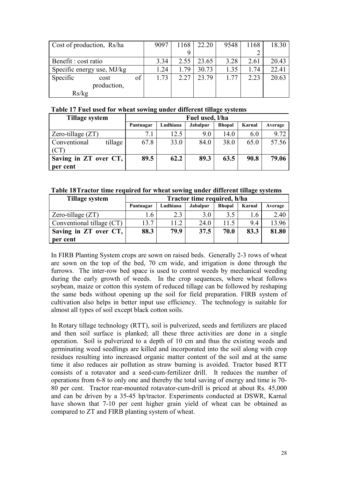| Cost of production, Rs/ha  |             | 9097 | 1168 | 22.20 | 9548  | 1168 | 18.30 |       |
|----------------------------|-------------|------|------|-------|-------|------|-------|-------|
|                            |             |      |      |       |       |      |       |       |
| Benefit : cost ratio       |             |      | 3.34 | 2.55  | 23.65 | 3.28 | 2.61  | 20.43 |
| Specific energy use, MJ/kg |             |      | 1.24 | 1.79  | 30.73 | 1.35 | 1.74  | 22.41 |
| Specific                   | cost        | of   | 1.73 | 2.27  | 23.79 | 1.77 | 2.23  | 20.63 |
|                            | production, |      |      |       |       |      |       |       |
| Rs/kg                      |             |      |      |       |       |      |       |       |

#### **Table 17 Fuel used for wheat sowing under different tillage systems**

| Tillage system          | Fuel used, l/ha |          |                 |               |        |         |  |
|-------------------------|-----------------|----------|-----------------|---------------|--------|---------|--|
|                         | Pantnagar       | Ludhiana | <b>Jabalpur</b> | <b>Bhopal</b> | Karnal | Average |  |
| Zero-tillage $(ZT)$     | 7.1             | 12.5     | 9.0             | 14.0          | 6.0    | 9.72    |  |
| Conventional<br>tillage | 67.8            | 33.0     | 84.0            | 38.0          | 65.0   | 57.56   |  |
| (CT)                    |                 |          |                 |               |        |         |  |
| Saving in ZT over CT,   | 89.5            | 62.2     | 89.3            | 63.5          | 90.8   | 79.06   |  |
| per cent                |                 |          |                 |               |        |         |  |

#### **Table 18 Tractor time required for wheat sowing under different tillage systems**

| Tillage system              | Tractor time required, h/ha |          |                 |               |        |         |
|-----------------------------|-----------------------------|----------|-----------------|---------------|--------|---------|
|                             | Pantnagar                   | Ludhiana | <b>Jabalpur</b> | <b>Bhopal</b> | Karnal | Average |
| Zero-tillage $(2T)$         | 1.6                         | 2.3      | 3.0             | 3.5           | 1.6    | 2.40    |
| Conventional tillage $(CT)$ | 13.7                        | 11.2     | 24.0            | 11.5          | 9.4    | 13.96   |
| Saving in ZT over CT,       | 88.3                        | 79.9     | 37.5            | 70.0          | 83.3   | 81.80   |
| per cent                    |                             |          |                 |               |        |         |

In FIRB Planting System crops are sown on raised beds. Generally 2-3 rows of wheat are sown on the top of the bed, 70 cm wide, and irrigation is done through the furrows. The inter-row bed space is used to control weeds by mechanical weeding during the early growth of weeds. In the crop sequences, where wheat follows soybean, maize or cotton this system of reduced tillage can be followed by reshaping the same beds without opening up the soil for field preparation. FIRB system of cultivation also helps in better input use efficiency. The technology is suitable for almost all types of soil except black cotton soils.

In Rotary tillage technology (RTT), soil is pulverized, seeds and fertilizers are placed and then soil surface is planked; all these three activities are done in a single operation. Soil is pulverized to a depth of 10 cm and thus the existing weeds and germinating weed seedlings are killed and incorporated into the soil along with crop residues resulting into increased organic matter content of the soil and at the same time it also reduces air pollution as straw burning is avoided. Tractor based RTT consists of a rotavator and a seed-cum-fertilizer drill. It reduces the number of operations from 6-8 to only one and thereby the total saving of energy and time is 70- 80 per cent. Tractor rear-mounted rotavator-cum-drill is priced at about Rs. 45,000 and can be driven by a 35-45 hp/tractor. Experiments conducted at DSWR, Karnal have shown that 7-10 per cent higher grain yield of wheat can be obtained as compared to ZT and FIRB planting system of wheat.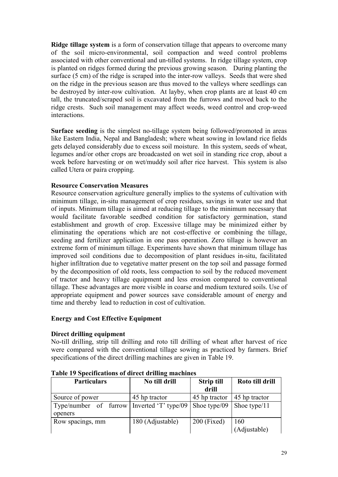**Ridge tillage system** is a form of conservation tillage that appears to overcome many of the soil micro-environmental, soil compaction and weed control problems associated with other conventional and un-tilled systems. In ridge tillage system, crop is planted on ridges formed during the previous growing season. During planting the surface (5 cm) of the ridge is scraped into the inter-row valleys. Seeds that were shed on the ridge in the previous season are thus moved to the valleys where seedlings can be destroyed by inter-row cultivation. At layby, when crop plants are at least 40 cm tall, the truncated/scraped soil is excavated from the furrows and moved back to the ridge crests. Such soil management may affect weeds, weed control and crop-weed interactions.

**Surface seeding** is the simplest no-tillage system being followed/promoted in areas like Eastern India, Nepal and Bangladesh; where wheat sowing in lowland rice fields gets delayed considerably due to excess soil moisture. In this system, seeds of wheat, legumes and/or other crops are broadcasted on wet soil in standing rice crop, about a week before harvesting or on wet/muddy soil after rice harvest. This system is also called Utera or paira cropping.

# **Resource Conservation Measures**

Resource conservation agriculture generally implies to the systems of cultivation with minimum tillage, in-situ management of crop residues, savings in water use and that of inputs. Minimum tillage is aimed at reducing tillage to the minimum necessary that would facilitate favorable seedbed condition for satisfactory germination, stand establishment and growth of crop. Excessive tillage may be minimized either by eliminating the operations which are not cost-effective or combining the tillage, seeding and fertilizer application in one pass operation. Zero tillage is however an extreme form of minimum tillage. Experiments have shown that minimum tillage has improved soil conditions due to decomposition of plant residues in-situ, facilitated higher infiltration due to vegetative matter present on the top soil and passage formed by the decomposition of old roots, less compaction to soil by the reduced movement of tractor and heavy tillage equipment and less erosion compared to conventional tillage. These advantages are more visible in coarse and medium textured soils. Use of appropriate equipment and power sources save considerable amount of energy and time and thereby lead to reduction in cost of cultivation.

#### **Energy and Cost Effective Equipment**

# **Direct drilling equipment**

No-till drilling, strip till drilling and roto till drilling of wheat after harvest of rice were compared with the conventional tillage sowing as practiced by farmers. Brief specifications of the direct drilling machines are given in Table 19.

| <b>Particulars</b>    | No till drill        | <b>Strip till</b> | Roto till drill |
|-----------------------|----------------------|-------------------|-----------------|
|                       |                      | drill             |                 |
| Source of power       | 45 hp tractor        | 45 hp tractor     | 45 hp tractor   |
| Type/number of furrow | Inverted 'T' type/09 | Shoe type/09      | Shoe type/11    |
| openers               |                      |                   |                 |
| Row spacings, mm      | 180 (Adjustable)     | $200$ (Fixed)     | 160             |
|                       |                      |                   | (Adjustable)    |

**Table 19 Specifications of direct drilling machines**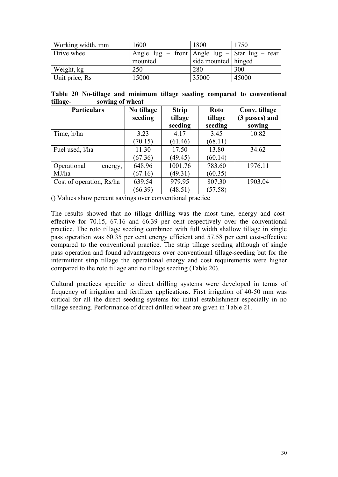| Working width, mm | 1600                                                   | 1800                  | 1750  |
|-------------------|--------------------------------------------------------|-----------------------|-------|
| Drive wheel       | Angle $\log$ - front Angle $\log$ - Star $\log$ - rear |                       |       |
|                   | mounted                                                | side mounted   hinged |       |
| Weight, kg        | 250                                                    | 280                   | 300   |
| Unit price, Rs    | 15000                                                  | 35000                 | 45000 |

|          |  |                 |  |  | Table 20 No-tillage and minimum tillage seeding compared to conventional |
|----------|--|-----------------|--|--|--------------------------------------------------------------------------|
| tillage- |  | sowing of wheat |  |  |                                                                          |

| <b>Particulars</b>       | No tillage | <b>Strip</b> | <b>Roto</b> | Conv. tillage  |
|--------------------------|------------|--------------|-------------|----------------|
|                          | seeding    | tillage      | tillage     | (3 passes) and |
|                          |            | seeding      | seeding     | sowing         |
| Time, h/ha               | 3.23       | 4.17         | 3.45        | 10.82          |
|                          | (70.15)    | (61.46)      | (68.11)     |                |
| Fuel used, l/ha          | 11.30      | 17.50        | 13.80       | 34.62          |
|                          | (67.36)    | (49.45)      | (60.14)     |                |
| Operational<br>energy,   | 648.96     | 1001.76      | 783.60      | 1976.11        |
| MJ/ha                    | (67.16)    | (49.31)      | (60.35)     |                |
| Cost of operation, Rs/ha | 639.54     | 979.95       | 807.30      | 1903.04        |
|                          | (66.39)    | (48.51)      | (57.58)     |                |

() Values show percent savings over conventional practice

The results showed that no tillage drilling was the most time, energy and costeffective for 70.15, 67.16 and 66.39 per cent respectively over the conventional practice. The roto tillage seeding combined with full width shallow tillage in single pass operation was 60.35 per cent energy efficient and 57.58 per cent cost-effective compared to the conventional practice. The strip tillage seeding although of single pass operation and found advantageous over conventional tillage-seeding but for the intermittent strip tillage the operational energy and cost requirements were higher compared to the roto tillage and no tillage seeding (Table 20).

Cultural practices specific to direct drilling systems were developed in terms of frequency of irrigation and fertilizer applications. First irrigation of 40-50 mm was critical for all the direct seeding systems for initial establishment especially in no tillage seeding. Performance of direct drilled wheat are given in Table 21.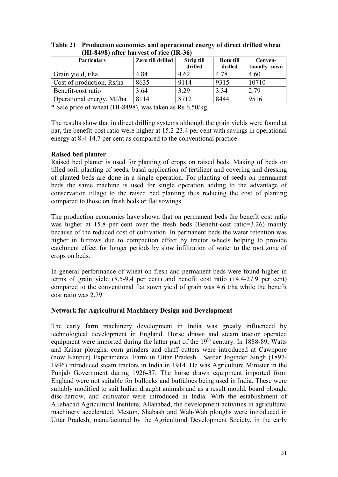| <b>Particulars</b>        | Zero till drilled | <b>Strip till</b><br>drilled | Roto till<br>drilled | Conven-<br>tionally sown |
|---------------------------|-------------------|------------------------------|----------------------|--------------------------|
| Grain yield, t/ha         | 4.84              | 4.62                         | 4.78                 | 4.60                     |
| Cost of production, Rs/ha | 8635              | 9114                         | 9315                 | 10710                    |
| Benefit-cost ratio        | 3.64              | 3.29                         | 3.34                 | 2.79                     |
| Operational energy, MJ/ha | 8114              | 8712                         | 8444                 | 9516                     |

**Table 21 Production economics and operational energy of direct drilled wheat (HI-8498) after harvest of rice (IR-36)** 

\* Sale price of wheat (HI-8498), was taken as Rs 6.50/kg.

The results show that in direct drilling systems although the grain yields were found at par, the benefit-cost ratio were higher at 15.2-23.4 per cent with savings in operational energy at 8.4-14.7 per cent as compared to the conventional practice.

# **Raised bed planter**

Raised bed planter is used for planting of crops on raised beds. Making of beds on tilled soil, planting of seeds, basal application of fertilizer and covering and dressing of planted beds are done in a single operation. For planting of seeds on permanent beds the same machine is used for single operation adding to the advantage of conservation tillage to the raised bed planting thus reducing the cost of planting compared to those on fresh beds or flat sowings.

The production economics have shown that on permanent beds the benefit cost ratio was higher at 15.8 per cent over the fresh beds (Benefit-cost ratio=3.26) mainly because of the reduced cost of cultivation. In permanent beds the water retention was higher in furrows due to compaction effect by tractor wheels helping to provide catchment effect for longer periods by slow infiltration of water to the root zone of crops on beds.

In general performance of wheat on fresh and permanent beds were found higher in terms of grain yield (8.5-9.4 per cent) and benefit cost ratio (14.4-27.9 per cent) compared to the conventional flat sown yield of grain was 4.6 t/ha while the benefit cost ratio was 2.79.

#### **Network for Agricultural Machinery Design and Development**

The early farm machinery development in India was greatly influenced by technological development in England. Horse drawn and steam tractor operated equipment were imported during the latter part of the  $19<sup>th</sup>$  century. In 1888-89, Watts and Kaisar ploughs, corn grinders and chaff cutters were introduced at Cawnpore (now Kanpur) Experimental Farm in Uttar Pradesh. Sardar Joginder Singh (1897- 1946) introduced steam tractors in India in 1914. He was Agriculture Minister in the Punjab Government during 1926-37. The horse drawn equipment imported from England were not suitable for bullocks and buffaloes being used in India. These were suitably modified to suit Indian draught animals and as a result mould, board plough, disc-harrow, and cultivator were introduced in India. With the establishment of Allahabad Agricultural Institute, Allahabad, the development activities in agricultural machinery accelerated. Meston, Shabash and Wah-Wah ploughs were introduced in Uttar Pradesh, manufactured by the Agricultural Development Society, in the early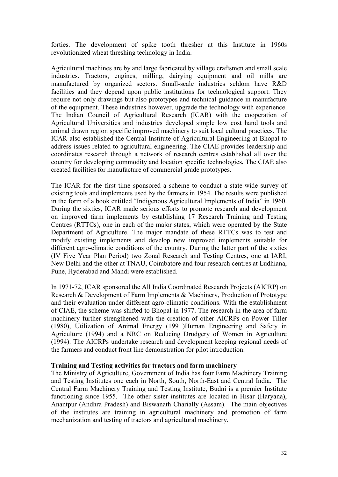forties. The development of spike tooth thresher at this Institute in 1960s revolutionized wheat threshing technology in India.

Agricultural machines are by and large fabricated by village craftsmen and small scale industries. Tractors, engines, milling, dairying equipment and oil mills are manufactured by organized sectors. Small-scale industries seldom have R&D facilities and they depend upon public institutions for technological support. They require not only drawings but also prototypes and technical guidance in manufacture of the equipment. These industries however, upgrade the technology with experience. The Indian Council of Agricultural Research (ICAR) with the cooperation of Agricultural Universities and industries developed simple low cost hand tools and animal drawn region specific improved machinery to suit local cultural practices. The ICAR also established the Central Institute of Agricultural Engineering at Bhopal to address issues related to agricultural engineering. The CIAE provides leadership and coordinates research through a network of research centres established all over the country for developing commodity and location specific technologies*.* The CIAE also created facilities for manufacture of commercial grade prototypes.

The ICAR for the first time sponsored a scheme to conduct a state-wide survey of existing tools and implements used by the farmers in 1954. The results were published in the form of a book entitled "Indigenous Agricultural Implements of India" in 1960. During the sixties, ICAR made serious efforts to promote research and development on improved farm implements by establishing 17 Research Training and Testing Centres (RTTCs), one in each of the major states, which were operated by the State Department of Agriculture. The major mandate of these RTTCs was to test and modify existing implements and develop new improved implements suitable for different agro-climatic conditions of the country. During the latter part of the sixties (IV Five Year Plan Period) two Zonal Research and Testing Centres, one at IARI, New Delhi and the other at TNAU, Coimbatore and four research centres at Ludhiana, Pune, Hyderabad and Mandi were established.

In 1971-72, ICAR sponsored the All India Coordinated Research Projects (AICRP) on Research & Development of Farm Implements & Machinery, Production of Prototype and their evaluation under different agro-climatic conditions. With the establishment of CIAE, the scheme was shifted to Bhopal in 1977. The research in the area of farm machinery further strengthened with the creation of other AICRPs on Power Tiller (1980), Utilization of Animal Energy (199 )Human Engineering and Safety in Agriculture (1994) and a NRC on Reducing Drudgery of Women in Agriculture (1994). The AICRPs undertake research and development keeping regional needs of the farmers and conduct front line demonstration for pilot introduction.

#### **Training and Testing activities for tractors and farm machinery**

The Ministry of Agriculture, Government of India has four Farm Machinery Training and Testing Institutes one each in North, South, North-East and Central India. The Central Farm Machinery Training and Testing Institute, Budni is a premier Institute functioning since 1955. The other sister institutes are located in Hisar (Haryana), Anantpur (Andhra Pradesh) and Biswanath Charially (Assam). The main objectives of the institutes are training in agricultural machinery and promotion of farm mechanization and testing of tractors and agricultural machinery.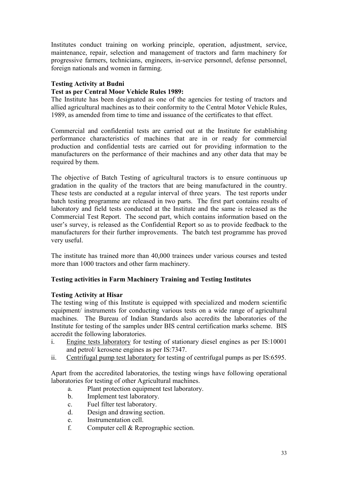Institutes conduct training on working principle, operation, adjustment, service, maintenance, repair, selection and management of tractors and farm machinery for progressive farmers, technicians, engineers, in-service personnel, defense personnel, foreign nationals and women in farming.

# **Testing Activity at Budni**

# **Test as per Central Moor Vehicle Rules 1989:**

The Institute has been designated as one of the agencies for testing of tractors and allied agricultural machines as to their conformity to the Central Motor Vehicle Rules, 1989, as amended from time to time and issuance of the certificates to that effect.

Commercial and confidential tests are carried out at the Institute for establishing performance characteristics of machines that are in or ready for commercial production and confidential tests are carried out for providing information to the manufacturers on the performance of their machines and any other data that may be required by them.

The objective of Batch Testing of agricultural tractors is to ensure continuous up gradation in the quality of the tractors that are being manufactured in the country. These tests are conducted at a regular interval of three years. The test reports under batch testing programme are released in two parts. The first part contains results of laboratory and field tests conducted at the Institute and the same is released as the Commercial Test Report. The second part, which contains information based on the user's survey, is released as the Confidential Report so as to provide feedback to the manufacturers for their further improvements. The batch test programme has proved very useful.

The institute has trained more than 40,000 trainees under various courses and tested more than 1000 tractors and other farm machinery.

#### **Testing activities in Farm Machinery Training and Testing Institutes**

#### **Testing Activity at Hisar**

The testing wing of this Institute is equipped with specialized and modern scientific equipment/ instruments for conducting various tests on a wide range of agricultural machines. The Bureau of Indian Standards also accredits the laboratories of the Institute for testing of the samples under BIS central certification marks scheme. BIS accredit the following laboratories.

- i. Engine tests laboratory for testing of stationary diesel engines as per IS:10001 and petrol/ kerosene engines as per IS:7347.
- ii. Centrifugal pump test laboratory for testing of centrifugal pumps as per IS:6595.

Apart from the accredited laboratories, the testing wings have following operational laboratories for testing of other Agricultural machines.

- a. Plant protection equipment test laboratory.
- b. Implement test laboratory.
- c. Fuel filter test laboratory.
- d. Design and drawing section.
- e. Instrumentation cell.
- f. Computer cell & Reprographic section.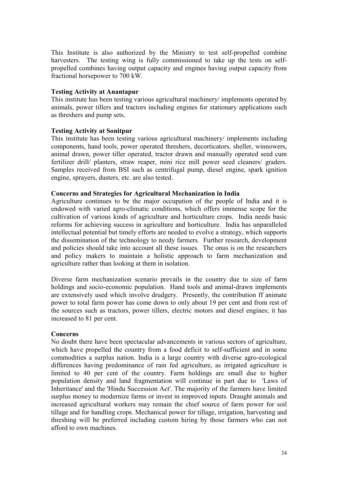This Institute is also authorized by the Ministry to test self-propelled combine harvesters. The testing wing is fully commissioned to take up the tests on selfpropelled combines having output capacity and engines having output capacity from fractional horsepower to 700 kW.

#### **Testing Activity at Anantapur**

This institute has been testing various agricultural machinery/ implements operated by animals, power tillers and tractors including engines for stationary applications such as threshers and pump sets.

# **Testing Activity at Sonitpur**

This institute has been testing various agricultural machinery/ implements including components, hand tools, power operated threshers, decorticators, sheller, winnowers, animal drawn, power tiller operated, tractor drawn and manually operated seed cum fertilizer drill/ planters, straw reaper, mini rice mill power seed cleaners/ graders. Samples received from BSI such as centrifugal pump, diesel engine, spark ignition engine, sprayers, dusters, etc. are also tested.

#### **Concerns and Strategies for Agricultural Mechanization in India**

Agriculture continues to be the major occupation of the people of India and it is endowed with varied agro-climatic conditions, which offers immense scope for the cultivation of various kinds of agriculture and horticulture crops. India needs basic reforms for achieving success in agriculture and horticulture. India has unparalleled intellectual potential but timely efforts are needed to evolve a strategy, which supports the dissemination of the technology to needy farmers. Further research, development and policies should take into account all these issues. The onus is on the researchers and policy makers to maintain a holistic approach to farm mechanization and agriculture rather than looking at them in isolation.

Diverse farm mechanization scenario prevails in the country due to size of farm holdings and socio-economic population. Hand tools and animal-drawn implements are extensively used which involve drudgery. Presently, the contribution ff animate power to total farm power has come down to only about 19 per cent and from rest of the sources such as tractors, power tillers, electric motors and diesel engines; it has increased to 81 per cent.

#### **Concerns**

No doubt there have been spectacular advancements in various sectors of agriculture, which have propelled the country from a food deficit to self-sufficient and in some commodities a surplus nation. India is a large country with diverse agro-ecological differences having predominance of rain fed agriculture, as irrigated agriculture is limited to 40 per cent of the country. Farm holdings are small due to higher population density and land fragmentation will continue in part due to 'Laws of Inheritance' and the 'Hindu Succession Act'. The majority of the farmers have limited surplus money to modernize farms or invest in improved inputs. Draught animals and increased agricultural workers may remain the chief source of farm power for soil tillage and for handling crops. Mechanical power for tillage, irrigation, harvesting and threshing will be preferred including custom hiring by those farmers who can not afford to own machines.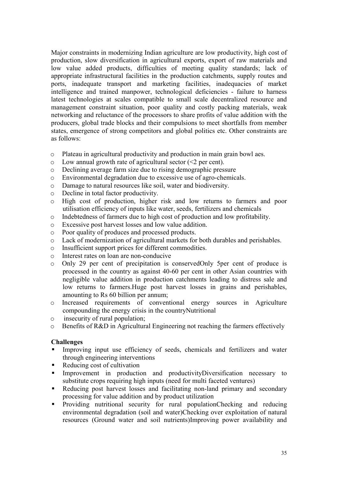Major constraints in modernizing Indian agriculture are low productivity, high cost of production, slow diversification in agricultural exports, export of raw materials and low value added products, difficulties of meeting quality standards; lack of appropriate infrastructural facilities in the production catchments, supply routes and ports, inadequate transport and marketing facilities, inadequacies of market intelligence and trained manpower, technological deficiencies - failure to harness latest technologies at scales compatible to small scale decentralized resource and management constraint situation, poor quality and costly packing materials, weak networking and reluctance of the processors to share profits of value addition with the producers, global trade blocks and their compulsions to meet shortfalls from member states, emergence of strong competitors and global politics etc. Other constraints are as follows:

- o Plateau in agricultural productivity and production in main grain bowl aes.
- $\circ$  Low annual growth rate of agricultural sector (<2 per cent).
- o Declining average farm size due to rising demographic pressure
- o Environmental degradation due to excessive use of agro-chemicals.
- o Damage to natural resources like soil, water and biodiversity.
- o Decline in total factor productivity.
- o High cost of production, higher risk and low returns to farmers and poor utilisation efficiency of inputs like water, seeds, fertilizers and chemicals
- o Indebtedness of farmers due to high cost of production and low profitability.
- o Excessive post harvest losses and low value addition.
- o Poor quality of produces and processed products.
- o Lack of modernization of agricultural markets for both durables and perishables.
- o Insufficient support prices for different commodities.
- o Interest rates on loan are non-conducive
- o Only 29 per cent of precipitation is conservedOnly 5per cent of produce is processed in the country as against 40-60 per cent in other Asian countries with negligible value addition in production catchments leading to distress sale and low returns to farmers.Huge post harvest losses in grains and perishables, amounting to Rs 60 billion per annum;
- o Increased requirements of conventional energy sources in Agriculture compounding the energy crisis in the countryNutritional
- o insecurity of rural population;
- o Benefits of R&D in Agricultural Engineering not reaching the farmers effectively

#### **Challenges**

- - Improving input use efficiency of seeds, chemicals and fertilizers and water through engineering interventions
- -Reducing cost of cultivation
- - Improvement in production and productivityDiversification necessary to substitute crops requiring high inputs (need for multi faceted ventures)
- - Reducing post harvest losses and facilitating non-land primary and secondary processing for value addition and by product utilization
- - Providing nutritional security for rural populationChecking and reducing environmental degradation (soil and water)Checking over exploitation of natural resources (Ground water and soil nutrients)Improving power availability and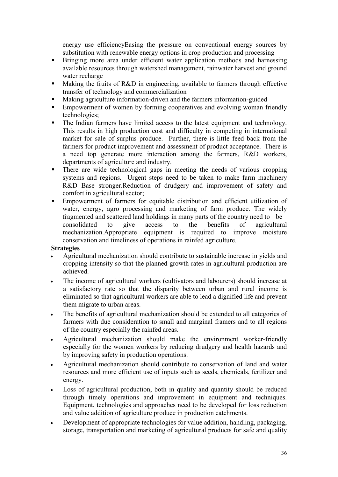energy use efficiencyEasing the pressure on conventional energy sources by substitution with renewable energy options in crop production and processing

- - Bringing more area under efficient water application methods and harnessing available resources through watershed management, rainwater harvest and ground water recharge
- - Making the fruits of R&D in engineering, available to farmers through effective transfer of technology and commercialization
- -Making agriculture information-driven and the farmers information-guided
- - Empowerment of women by forming cooperatives and evolving woman friendly technologies;
- - The Indian farmers have limited access to the latest equipment and technology. This results in high production cost and difficulty in competing in international market for sale of surplus produce. Further, there is little feed back from the farmers for product improvement and assessment of product acceptance. There is a need top generate more interaction among the farmers, R&D workers, departments of agriculture and industry.
- - There are wide technological gaps in meeting the needs of various cropping systems and regions. Urgent steps need to be taken to make farm machinery R&D Base stronger.Reduction of drudgery and improvement of safety and comfort in agricultural sector;
- - Empowerment of farmers for equitable distribution and efficient utilization of water, energy, agro processing and marketing of farm produce. The widely fragmented and scattered land holdings in many parts of the country need to be consolidated to give access to the benefits of agricultural mechanization.Appropriate equipment is required to improve moisture conservation and timeliness of operations in rainfed agriculture.

# **Strategies**

- Agricultural mechanization should contribute to sustainable increase in yields and cropping intensity so that the planned growth rates in agricultural production are achieved.
- The income of agricultural workers (cultivators and labourers) should increase at a satisfactory rate so that the disparity between urban and rural income is eliminated so that agricultural workers are able to lead a dignified life and prevent them migrate to urban areas.
- The benefits of agricultural mechanization should be extended to all categories of farmers with due consideration to small and marginal framers and to all regions of the country especially the rainfed areas.
- Agricultural mechanization should make the environment worker-friendly especially for the women workers by reducing drudgery and health hazards and by improving safety in production operations.
- Agricultural mechanization should contribute to conservation of land and water resources and more efficient use of inputs such as seeds, chemicals, fertilizer and energy.
- Loss of agricultural production, both in quality and quantity should be reduced through timely operations and improvement in equipment and techniques. Equipment, technologies and approaches need to be developed for loss reduction and value addition of agriculture produce in production catchments.
- Development of appropriate technologies for value addition, handling, packaging, storage, transportation and marketing of agricultural products for safe and quality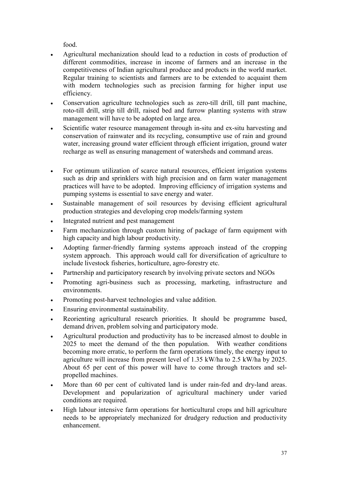food.

- Agricultural mechanization should lead to a reduction in costs of production of different commodities, increase in income of farmers and an increase in the competitiveness of Indian agricultural produce and products in the world market. Regular training to scientists and farmers are to be extended to acquaint them with modern technologies such as precision farming for higher input use efficiency.
- Conservation agriculture technologies such as zero-till drill, till pant machine, roto-till drill, strip till drill, raised bed and furrow planting systems with straw management will have to be adopted on large area.
- Scientific water resource management through in-situ and ex-situ harvesting and conservation of rainwater and its recycling, consumptive use of rain and ground water, increasing ground water efficient through efficient irrigation, ground water recharge as well as ensuring management of watersheds and command areas.
- For optimum utilization of scarce natural resources, efficient irrigation systems such as drip and sprinklers with high precision and on farm water management practices will have to be adopted. Improving efficiency of irrigation systems and pumping systems is essential to save energy and water.
- Sustainable management of soil resources by devising efficient agricultural production strategies and developing crop models/farming system
- Integrated nutrient and pest management
- Farm mechanization through custom hiring of package of farm equipment with high capacity and high labour productivity.
- Adopting farmer-friendly farming systems approach instead of the cropping system approach. This approach would call for diversification of agriculture to include livestock fisheries, horticulture, agro-forestry etc.
- Partnership and participatory research by involving private sectors and NGOs
- Promoting agri-business such as processing, marketing, infrastructure and environments.
- Promoting post-harvest technologies and value addition.
- Ensuring environmental sustainability.
- Reorienting agricultural research priorities. It should be programme based, demand driven, problem solving and participatory mode.
- Agricultural production and productivity has to be increased almost to double in 2025 to meet the demand of the then population. With weather conditions becoming more erratic, to perform the farm operations timely, the energy input to agriculture will increase from present level of 1.35 kW/ha to 2.5 kW/ha by 2025. About 65 per cent of this power will have to come through tractors and selpropelled machines.
- More than 60 per cent of cultivated land is under rain-fed and dry-land areas. Development and popularization of agricultural machinery under varied conditions are required.
- High labour intensive farm operations for horticultural crops and hill agriculture needs to be appropriately mechanized for drudgery reduction and productivity enhancement.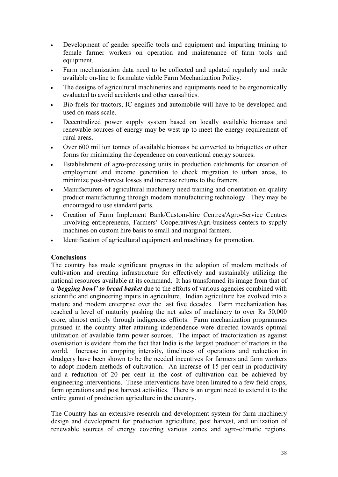- Development of gender specific tools and equipment and imparting training to female farmer workers on operation and maintenance of farm tools and equipment.
- Farm mechanization data need to be collected and updated regularly and made available on-line to formulate viable Farm Mechanization Policy.
- The designs of agricultural machineries and equipments need to be ergonomically evaluated to avoid accidents and other causalities.
- Bio-fuels for tractors, IC engines and automobile will have to be developed and used on mass scale.
- Decentralized power supply system based on locally available biomass and renewable sources of energy may be west up to meet the energy requirement of rural areas.
- Over 600 million tonnes of available biomass be converted to briquettes or other forms for minimizing the dependence on conventional energy sources.
- Establishment of agro-processing units in production catchments for creation of employment and income generation to check migration to urban areas, to minimize post-harvest losses and increase returns to the framers.
- Manufacturers of agricultural machinery need training and orientation on quality product manufacturing through modern manufacturing technology. They may be encouraged to use standard parts.
- Creation of Farm Implement Bank/Custom-hire Centres/Agro-Service Centres involving entrepreneurs, Farmers' Cooperatives/Agri-business centers to supply machines on custom hire basis to small and marginal farmers.
- Identification of agricultural equipment and machinery for promotion.

#### **Conclusions**

The country has made significant progress in the adoption of modern methods of cultivation and creating infrastructure for effectively and sustainably utilizing the national resources available at its command. It has transformed its image from that of a *'begging bowl' to bread basket* due to the efforts of various agencies combined with scientific and engineering inputs in agriculture. Indian agriculture has evolved into a mature and modern enterprise over the last five decades. Farm mechanization has reached a level of maturity pushing the net sales of machinery to over Rs 50,000 crore, almost entirely through indigenous efforts. Farm mechanization programmes pursued in the country after attaining independence were directed towards optimal utilization of available farm power sources. The impact of tractorization as against oxenisation is evident from the fact that India is the largest producer of tractors in the world. Increase in cropping intensity, timeliness of operations and reduction in drudgery have been shown to be the needed incentives for farmers and farm workers to adopt modern methods of cultivation. An increase of 15 per cent in productivity and a reduction of 20 per cent in the cost of cultivation can be achieved by engineering interventions. These interventions have been limited to a few field crops, farm operations and post harvest activities. There is an urgent need to extend it to the entire gamut of production agriculture in the country.

The Country has an extensive research and development system for farm machinery design and development for production agriculture, post harvest, and utilization of renewable sources of energy covering various zones and agro-climatic regions.